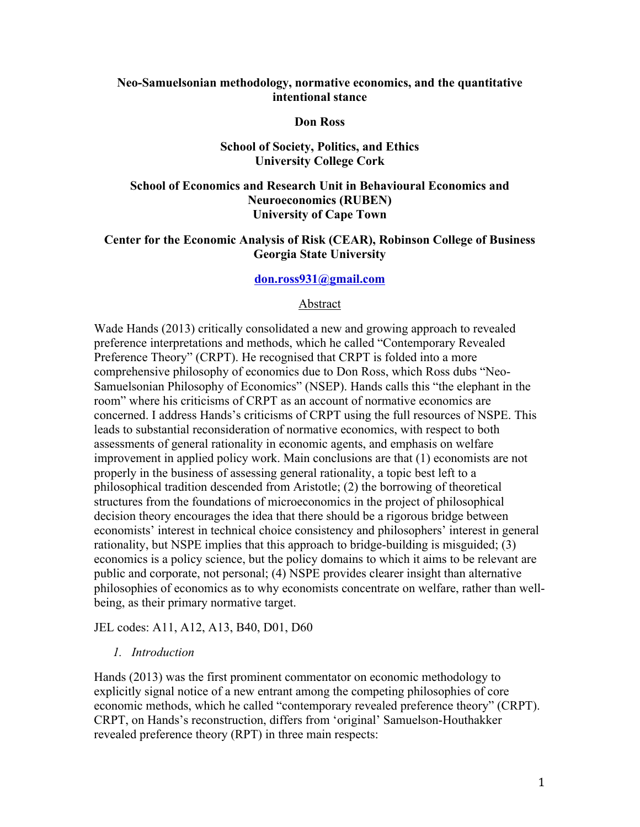### **Neo-Samuelsonian methodology, normative economics, and the quantitative intentional stance**

#### **Don Ross**

### **School of Society, Politics, and Ethics University College Cork**

# **School of Economics and Research Unit in Behavioural Economics and Neuroeconomics (RUBEN) University of Cape Town**

# **Center for the Economic Analysis of Risk (CEAR), Robinson College of Business Georgia State University**

## **don.ross931@gmail.com**

#### Abstract

Wade Hands (2013) critically consolidated a new and growing approach to revealed preference interpretations and methods, which he called "Contemporary Revealed Preference Theory" (CRPT). He recognised that CRPT is folded into a more comprehensive philosophy of economics due to Don Ross, which Ross dubs "Neo-Samuelsonian Philosophy of Economics" (NSEP). Hands calls this "the elephant in the room" where his criticisms of CRPT as an account of normative economics are concerned. I address Hands's criticisms of CRPT using the full resources of NSPE. This leads to substantial reconsideration of normative economics, with respect to both assessments of general rationality in economic agents, and emphasis on welfare improvement in applied policy work. Main conclusions are that (1) economists are not properly in the business of assessing general rationality, a topic best left to a philosophical tradition descended from Aristotle; (2) the borrowing of theoretical structures from the foundations of microeconomics in the project of philosophical decision theory encourages the idea that there should be a rigorous bridge between economists' interest in technical choice consistency and philosophers' interest in general rationality, but NSPE implies that this approach to bridge-building is misguided; (3) economics is a policy science, but the policy domains to which it aims to be relevant are public and corporate, not personal; (4) NSPE provides clearer insight than alternative philosophies of economics as to why economists concentrate on welfare, rather than wellbeing, as their primary normative target.

JEL codes: A11, A12, A13, B40, D01, D60

#### *1. Introduction*

Hands (2013) was the first prominent commentator on economic methodology to explicitly signal notice of a new entrant among the competing philosophies of core economic methods, which he called "contemporary revealed preference theory" (CRPT). CRPT, on Hands's reconstruction, differs from 'original' Samuelson-Houthakker revealed preference theory (RPT) in three main respects: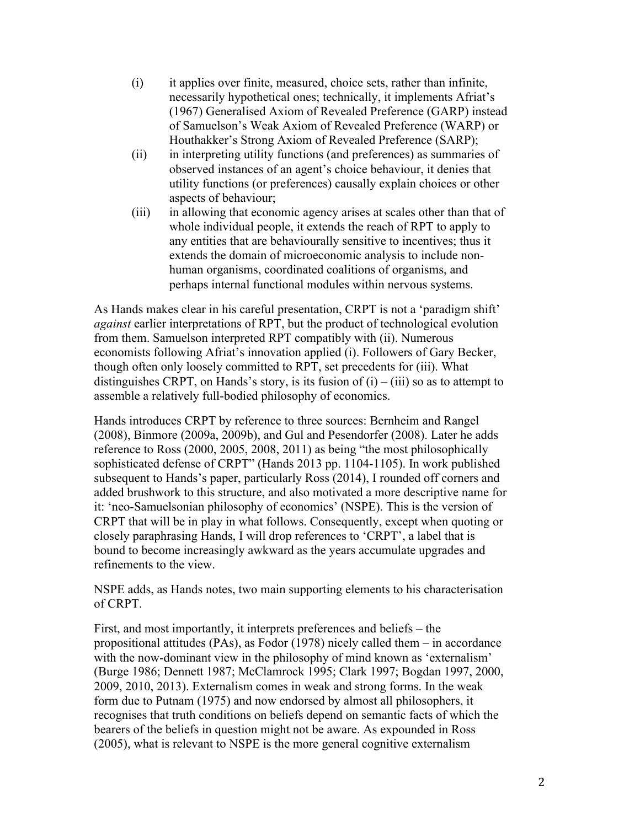- (i) it applies over finite, measured, choice sets, rather than infinite, necessarily hypothetical ones; technically, it implements Afriat's (1967) Generalised Axiom of Revealed Preference (GARP) instead of Samuelson's Weak Axiom of Revealed Preference (WARP) or Houthakker's Strong Axiom of Revealed Preference (SARP);
- (ii) in interpreting utility functions (and preferences) as summaries of observed instances of an agent's choice behaviour, it denies that utility functions (or preferences) causally explain choices or other aspects of behaviour;
- (iii) in allowing that economic agency arises at scales other than that of whole individual people, it extends the reach of RPT to apply to any entities that are behaviourally sensitive to incentives; thus it extends the domain of microeconomic analysis to include nonhuman organisms, coordinated coalitions of organisms, and perhaps internal functional modules within nervous systems.

As Hands makes clear in his careful presentation, CRPT is not a 'paradigm shift' *against* earlier interpretations of RPT, but the product of technological evolution from them. Samuelson interpreted RPT compatibly with (ii). Numerous economists following Afriat's innovation applied (i). Followers of Gary Becker, though often only loosely committed to RPT, set precedents for (iii). What distinguishes CRPT, on Hands's story, is its fusion of  $(i) - (iii)$  so as to attempt to assemble a relatively full-bodied philosophy of economics.

Hands introduces CRPT by reference to three sources: Bernheim and Rangel (2008), Binmore (2009a, 2009b), and Gul and Pesendorfer (2008). Later he adds reference to Ross (2000, 2005, 2008, 2011) as being "the most philosophically sophisticated defense of CRPT" (Hands 2013 pp. 1104-1105). In work published subsequent to Hands's paper, particularly Ross (2014), I rounded off corners and added brushwork to this structure, and also motivated a more descriptive name for it: 'neo-Samuelsonian philosophy of economics' (NSPE). This is the version of CRPT that will be in play in what follows. Consequently, except when quoting or closely paraphrasing Hands, I will drop references to 'CRPT', a label that is bound to become increasingly awkward as the years accumulate upgrades and refinements to the view.

NSPE adds, as Hands notes, two main supporting elements to his characterisation of CRPT.

First, and most importantly, it interprets preferences and beliefs – the propositional attitudes (PAs), as Fodor (1978) nicely called them – in accordance with the now-dominant view in the philosophy of mind known as 'externalism' (Burge 1986; Dennett 1987; McClamrock 1995; Clark 1997; Bogdan 1997, 2000, 2009, 2010, 2013). Externalism comes in weak and strong forms. In the weak form due to Putnam (1975) and now endorsed by almost all philosophers, it recognises that truth conditions on beliefs depend on semantic facts of which the bearers of the beliefs in question might not be aware. As expounded in Ross (2005), what is relevant to NSPE is the more general cognitive externalism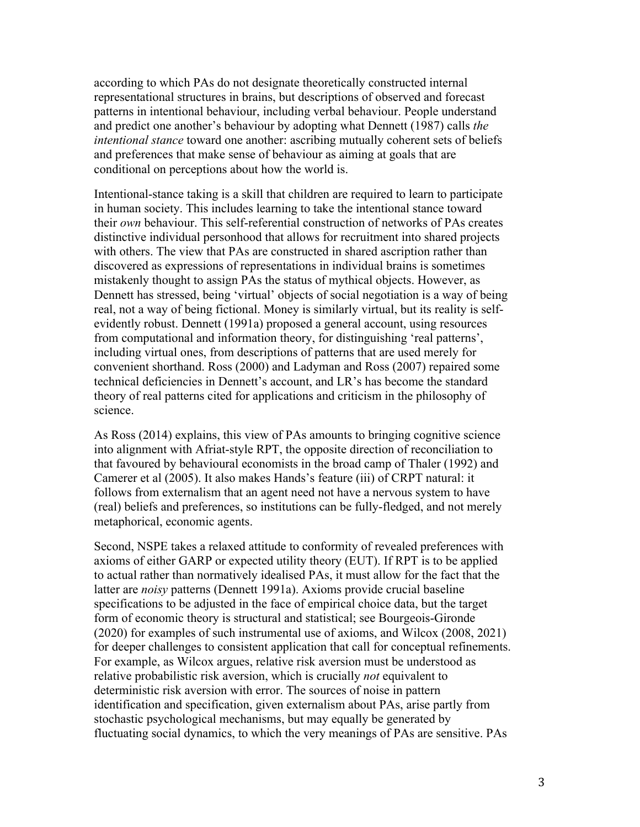according to which PAs do not designate theoretically constructed internal representational structures in brains, but descriptions of observed and forecast patterns in intentional behaviour, including verbal behaviour. People understand and predict one another's behaviour by adopting what Dennett (1987) calls *the intentional stance* toward one another: ascribing mutually coherent sets of beliefs and preferences that make sense of behaviour as aiming at goals that are conditional on perceptions about how the world is.

Intentional-stance taking is a skill that children are required to learn to participate in human society. This includes learning to take the intentional stance toward their *own* behaviour. This self-referential construction of networks of PAs creates distinctive individual personhood that allows for recruitment into shared projects with others. The view that PAs are constructed in shared ascription rather than discovered as expressions of representations in individual brains is sometimes mistakenly thought to assign PAs the status of mythical objects. However, as Dennett has stressed, being 'virtual' objects of social negotiation is a way of being real, not a way of being fictional. Money is similarly virtual, but its reality is selfevidently robust. Dennett (1991a) proposed a general account, using resources from computational and information theory, for distinguishing 'real patterns', including virtual ones, from descriptions of patterns that are used merely for convenient shorthand. Ross (2000) and Ladyman and Ross (2007) repaired some technical deficiencies in Dennett's account, and LR's has become the standard theory of real patterns cited for applications and criticism in the philosophy of science.

As Ross (2014) explains, this view of PAs amounts to bringing cognitive science into alignment with Afriat-style RPT, the opposite direction of reconciliation to that favoured by behavioural economists in the broad camp of Thaler (1992) and Camerer et al (2005). It also makes Hands's feature (iii) of CRPT natural: it follows from externalism that an agent need not have a nervous system to have (real) beliefs and preferences, so institutions can be fully-fledged, and not merely metaphorical, economic agents.

Second, NSPE takes a relaxed attitude to conformity of revealed preferences with axioms of either GARP or expected utility theory (EUT). If RPT is to be applied to actual rather than normatively idealised PAs, it must allow for the fact that the latter are *noisy* patterns (Dennett 1991a). Axioms provide crucial baseline specifications to be adjusted in the face of empirical choice data, but the target form of economic theory is structural and statistical; see Bourgeois-Gironde (2020) for examples of such instrumental use of axioms, and Wilcox (2008, 2021) for deeper challenges to consistent application that call for conceptual refinements. For example, as Wilcox argues, relative risk aversion must be understood as relative probabilistic risk aversion, which is crucially *not* equivalent to deterministic risk aversion with error. The sources of noise in pattern identification and specification, given externalism about PAs, arise partly from stochastic psychological mechanisms, but may equally be generated by fluctuating social dynamics, to which the very meanings of PAs are sensitive. PAs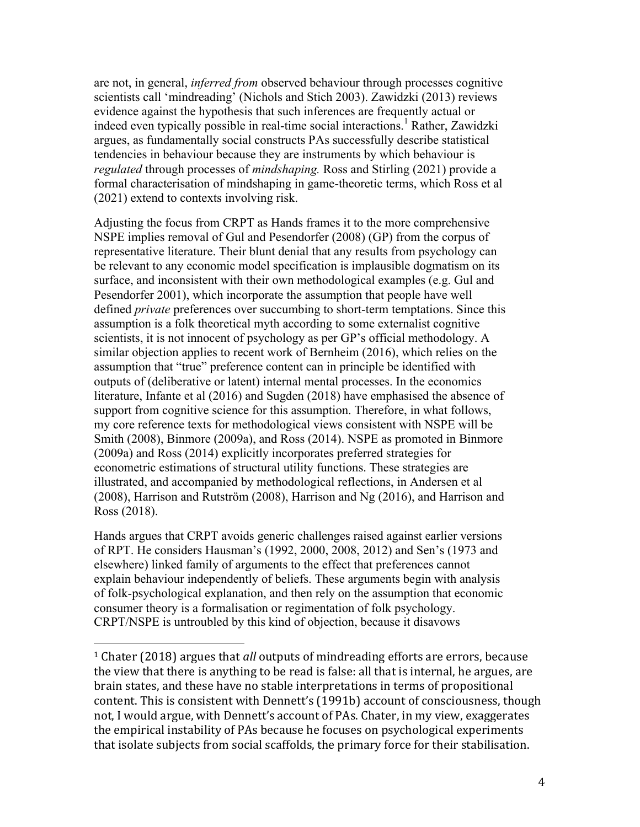are not, in general, *inferred from* observed behaviour through processes cognitive scientists call 'mindreading' (Nichols and Stich 2003). Zawidzki (2013) reviews evidence against the hypothesis that such inferences are frequently actual or indeed even typically possible in real-time social interactions.<sup>1</sup> Rather, Zawidzki argues, as fundamentally social constructs PAs successfully describe statistical tendencies in behaviour because they are instruments by which behaviour is *regulated* through processes of *mindshaping.* Ross and Stirling (2021) provide a formal characterisation of mindshaping in game-theoretic terms, which Ross et al (2021) extend to contexts involving risk.

Adjusting the focus from CRPT as Hands frames it to the more comprehensive NSPE implies removal of Gul and Pesendorfer (2008) (GP) from the corpus of representative literature. Their blunt denial that any results from psychology can be relevant to any economic model specification is implausible dogmatism on its surface, and inconsistent with their own methodological examples (e.g. Gul and Pesendorfer 2001), which incorporate the assumption that people have well defined *private* preferences over succumbing to short-term temptations. Since this assumption is a folk theoretical myth according to some externalist cognitive scientists, it is not innocent of psychology as per GP's official methodology. A similar objection applies to recent work of Bernheim (2016), which relies on the assumption that "true" preference content can in principle be identified with outputs of (deliberative or latent) internal mental processes. In the economics literature, Infante et al (2016) and Sugden (2018) have emphasised the absence of support from cognitive science for this assumption. Therefore, in what follows, my core reference texts for methodological views consistent with NSPE will be Smith (2008), Binmore (2009a), and Ross (2014). NSPE as promoted in Binmore (2009a) and Ross (2014) explicitly incorporates preferred strategies for econometric estimations of structural utility functions. These strategies are illustrated, and accompanied by methodological reflections, in Andersen et al (2008), Harrison and Rutström (2008), Harrison and Ng (2016), and Harrison and Ross (2018).

Hands argues that CRPT avoids generic challenges raised against earlier versions of RPT. He considers Hausman's (1992, 2000, 2008, 2012) and Sen's (1973 and elsewhere) linked family of arguments to the effect that preferences cannot explain behaviour independently of beliefs. These arguments begin with analysis of folk-psychological explanation, and then rely on the assumption that economic consumer theory is a formalisation or regimentation of folk psychology. CRPT/NSPE is untroubled by this kind of objection, because it disavows

<sup>&</sup>lt;sup>1</sup> Chater (2018) argues that *all* outputs of mindreading efforts are errors, because the view that there is anything to be read is false: all that is internal, he argues, are brain states, and these have no stable interpretations in terms of propositional content. This is consistent with Dennett's (1991b) account of consciousness, though not, I would argue, with Dennett's account of PAs. Chater, in my view, exaggerates the empirical instability of PAs because he focuses on psychological experiments that isolate subjects from social scaffolds, the primary force for their stabilisation.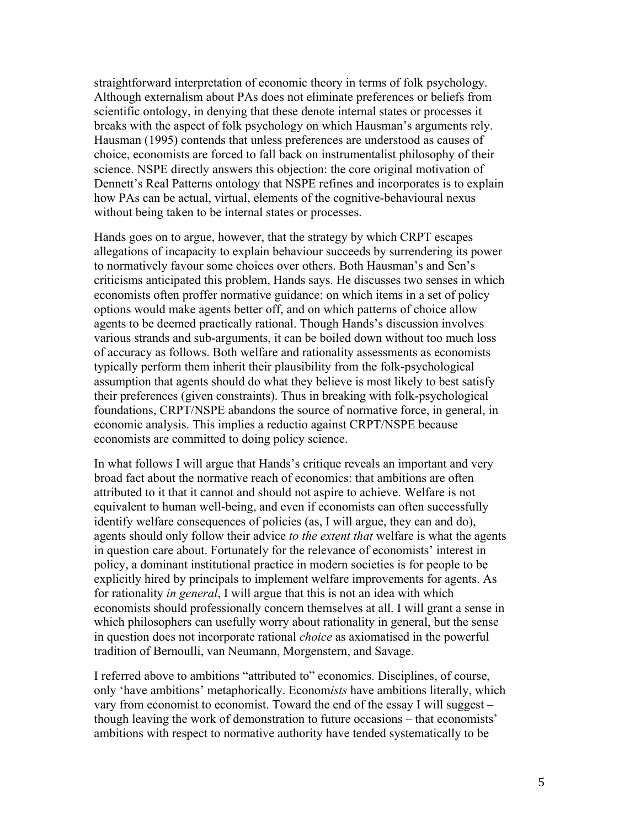straightforward interpretation of economic theory in terms of folk psychology. Although externalism about PAs does not eliminate preferences or beliefs from scientific ontology, in denying that these denote internal states or processes it breaks with the aspect of folk psychology on which Hausman's arguments rely. Hausman (1995) contends that unless preferences are understood as causes of choice, economists are forced to fall back on instrumentalist philosophy of their science. NSPE directly answers this objection: the core original motivation of Dennett's Real Patterns ontology that NSPE refines and incorporates is to explain how PAs can be actual, virtual, elements of the cognitive-behavioural nexus without being taken to be internal states or processes.

Hands goes on to argue, however, that the strategy by which CRPT escapes allegations of incapacity to explain behaviour succeeds by surrendering its power to normatively favour some choices over others. Both Hausman's and Sen's criticisms anticipated this problem, Hands says. He discusses two senses in which economists often proffer normative guidance: on which items in a set of policy options would make agents better off, and on which patterns of choice allow agents to be deemed practically rational. Though Hands's discussion involves various strands and sub-arguments, it can be boiled down without too much loss of accuracy as follows. Both welfare and rationality assessments as economists typically perform them inherit their plausibility from the folk-psychological assumption that agents should do what they believe is most likely to best satisfy their preferences (given constraints). Thus in breaking with folk-psychological foundations, CRPT/NSPE abandons the source of normative force, in general, in economic analysis. This implies a reductio against CRPT/NSPE because economists are committed to doing policy science.

In what follows I will argue that Hands's critique reveals an important and very broad fact about the normative reach of economics: that ambitions are often attributed to it that it cannot and should not aspire to achieve. Welfare is not equivalent to human well-being, and even if economists can often successfully identify welfare consequences of policies (as, I will argue, they can and do), agents should only follow their advice *to the extent that* welfare is what the agents in question care about. Fortunately for the relevance of economists' interest in policy, a dominant institutional practice in modern societies is for people to be explicitly hired by principals to implement welfare improvements for agents. As for rationality *in general*, I will argue that this is not an idea with which economists should professionally concern themselves at all. I will grant a sense in which philosophers can usefully worry about rationality in general, but the sense in question does not incorporate rational *choice* as axiomatised in the powerful tradition of Bernoulli, van Neumann, Morgenstern, and Savage.

I referred above to ambitions "attributed to" economics. Disciplines, of course, only 'have ambitions' metaphorically. Econom*ists* have ambitions literally, which vary from economist to economist. Toward the end of the essay I will suggest – though leaving the work of demonstration to future occasions – that economists' ambitions with respect to normative authority have tended systematically to be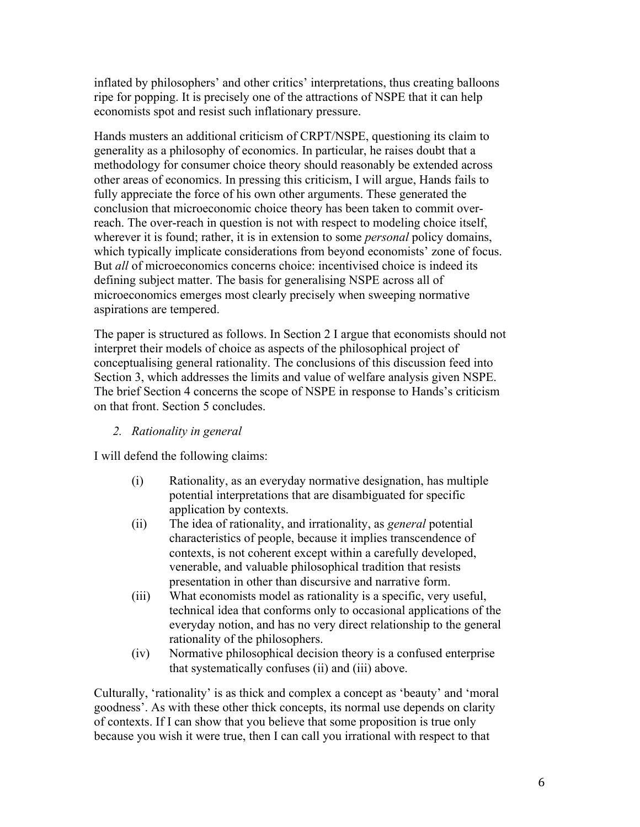inflated by philosophers' and other critics' interpretations, thus creating balloons ripe for popping. It is precisely one of the attractions of NSPE that it can help economists spot and resist such inflationary pressure.

Hands musters an additional criticism of CRPT/NSPE, questioning its claim to generality as a philosophy of economics. In particular, he raises doubt that a methodology for consumer choice theory should reasonably be extended across other areas of economics. In pressing this criticism, I will argue, Hands fails to fully appreciate the force of his own other arguments. These generated the conclusion that microeconomic choice theory has been taken to commit overreach. The over-reach in question is not with respect to modeling choice itself, wherever it is found; rather, it is in extension to some *personal* policy domains, which typically implicate considerations from beyond economists' zone of focus. But *all* of microeconomics concerns choice: incentivised choice is indeed its defining subject matter. The basis for generalising NSPE across all of microeconomics emerges most clearly precisely when sweeping normative aspirations are tempered.

The paper is structured as follows. In Section 2 I argue that economists should not interpret their models of choice as aspects of the philosophical project of conceptualising general rationality. The conclusions of this discussion feed into Section 3, which addresses the limits and value of welfare analysis given NSPE. The brief Section 4 concerns the scope of NSPE in response to Hands's criticism on that front. Section 5 concludes.

*2. Rationality in general*

I will defend the following claims:

- (i) Rationality, as an everyday normative designation, has multiple potential interpretations that are disambiguated for specific application by contexts.
- (ii) The idea of rationality, and irrationality, as *general* potential characteristics of people, because it implies transcendence of contexts, is not coherent except within a carefully developed, venerable, and valuable philosophical tradition that resists presentation in other than discursive and narrative form.
- (iii) What economists model as rationality is a specific, very useful, technical idea that conforms only to occasional applications of the everyday notion, and has no very direct relationship to the general rationality of the philosophers.
- (iv) Normative philosophical decision theory is a confused enterprise that systematically confuses (ii) and (iii) above.

Culturally, 'rationality' is as thick and complex a concept as 'beauty' and 'moral goodness'. As with these other thick concepts, its normal use depends on clarity of contexts. If I can show that you believe that some proposition is true only because you wish it were true, then I can call you irrational with respect to that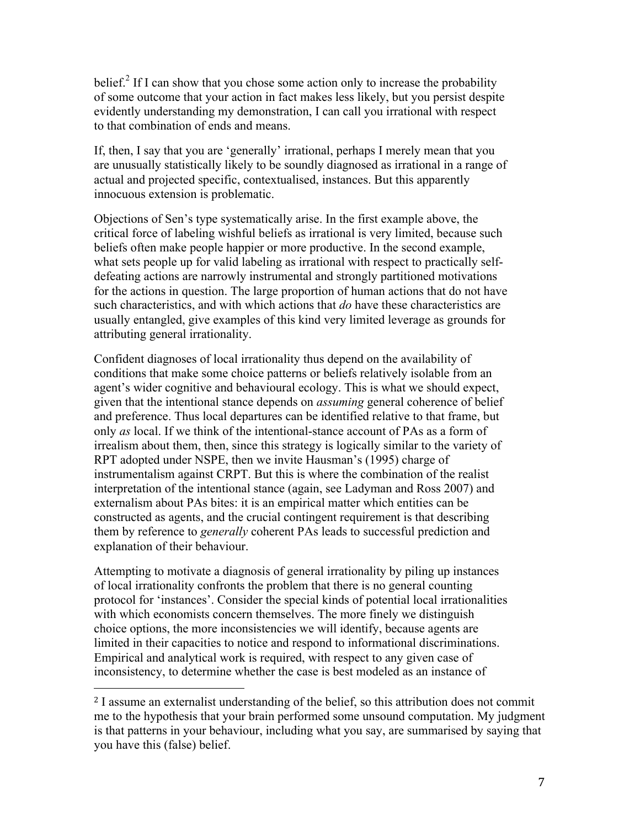belief.<sup>2</sup> If I can show that you chose some action only to increase the probability of some outcome that your action in fact makes less likely, but you persist despite evidently understanding my demonstration, I can call you irrational with respect to that combination of ends and means.

If, then, I say that you are 'generally' irrational, perhaps I merely mean that you are unusually statistically likely to be soundly diagnosed as irrational in a range of actual and projected specific, contextualised, instances. But this apparently innocuous extension is problematic.

Objections of Sen's type systematically arise. In the first example above, the critical force of labeling wishful beliefs as irrational is very limited, because such beliefs often make people happier or more productive. In the second example, what sets people up for valid labeling as irrational with respect to practically selfdefeating actions are narrowly instrumental and strongly partitioned motivations for the actions in question. The large proportion of human actions that do not have such characteristics, and with which actions that *do* have these characteristics are usually entangled, give examples of this kind very limited leverage as grounds for attributing general irrationality.

Confident diagnoses of local irrationality thus depend on the availability of conditions that make some choice patterns or beliefs relatively isolable from an agent's wider cognitive and behavioural ecology. This is what we should expect, given that the intentional stance depends on *assuming* general coherence of belief and preference. Thus local departures can be identified relative to that frame, but only *as* local. If we think of the intentional-stance account of PAs as a form of irrealism about them, then, since this strategy is logically similar to the variety of RPT adopted under NSPE, then we invite Hausman's (1995) charge of instrumentalism against CRPT. But this is where the combination of the realist interpretation of the intentional stance (again, see Ladyman and Ross 2007) and externalism about PAs bites: it is an empirical matter which entities can be constructed as agents, and the crucial contingent requirement is that describing them by reference to *generally* coherent PAs leads to successful prediction and explanation of their behaviour.

Attempting to motivate a diagnosis of general irrationality by piling up instances of local irrationality confronts the problem that there is no general counting protocol for 'instances'. Consider the special kinds of potential local irrationalities with which economists concern themselves. The more finely we distinguish choice options, the more inconsistencies we will identify, because agents are limited in their capacities to notice and respond to informational discriminations. Empirical and analytical work is required, with respect to any given case of inconsistency, to determine whether the case is best modeled as an instance of

<sup>2</sup> I assume an externalist understanding of the belief, so this attribution does not commit me to the hypothesis that your brain performed some unsound computation. My judgment is that patterns in your behaviour, including what you say, are summarised by saying that you have this (false) belief.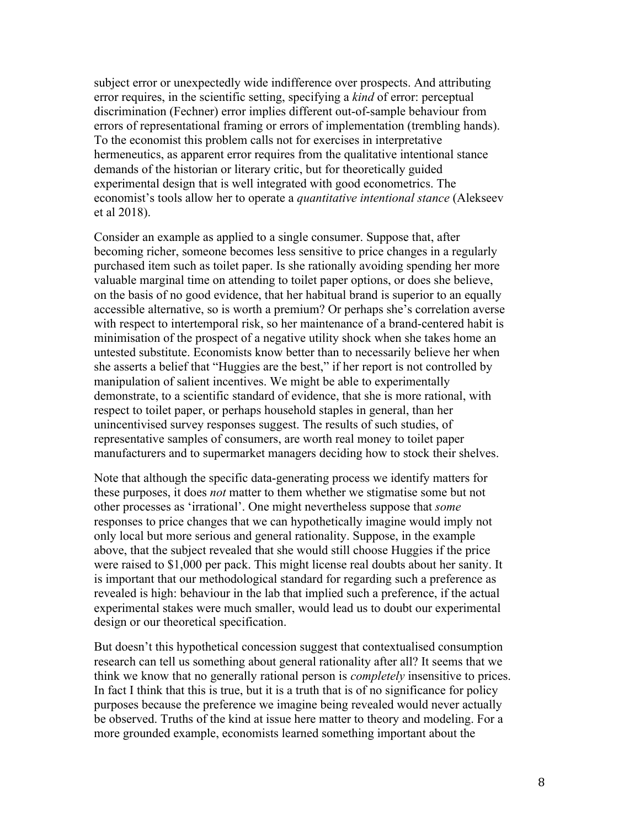subject error or unexpectedly wide indifference over prospects. And attributing error requires, in the scientific setting, specifying a *kind* of error: perceptual discrimination (Fechner) error implies different out-of-sample behaviour from errors of representational framing or errors of implementation (trembling hands). To the economist this problem calls not for exercises in interpretative hermeneutics, as apparent error requires from the qualitative intentional stance demands of the historian or literary critic, but for theoretically guided experimental design that is well integrated with good econometrics. The economist's tools allow her to operate a *quantitative intentional stance* (Alekseev et al 2018).

Consider an example as applied to a single consumer. Suppose that, after becoming richer, someone becomes less sensitive to price changes in a regularly purchased item such as toilet paper. Is she rationally avoiding spending her more valuable marginal time on attending to toilet paper options, or does she believe, on the basis of no good evidence, that her habitual brand is superior to an equally accessible alternative, so is worth a premium? Or perhaps she's correlation averse with respect to intertemporal risk, so her maintenance of a brand-centered habit is minimisation of the prospect of a negative utility shock when she takes home an untested substitute. Economists know better than to necessarily believe her when she asserts a belief that "Huggies are the best," if her report is not controlled by manipulation of salient incentives. We might be able to experimentally demonstrate, to a scientific standard of evidence, that she is more rational, with respect to toilet paper, or perhaps household staples in general, than her unincentivised survey responses suggest. The results of such studies, of representative samples of consumers, are worth real money to toilet paper manufacturers and to supermarket managers deciding how to stock their shelves.

Note that although the specific data-generating process we identify matters for these purposes, it does *not* matter to them whether we stigmatise some but not other processes as 'irrational'. One might nevertheless suppose that *some*  responses to price changes that we can hypothetically imagine would imply not only local but more serious and general rationality. Suppose, in the example above, that the subject revealed that she would still choose Huggies if the price were raised to \$1,000 per pack. This might license real doubts about her sanity. It is important that our methodological standard for regarding such a preference as revealed is high: behaviour in the lab that implied such a preference, if the actual experimental stakes were much smaller, would lead us to doubt our experimental design or our theoretical specification.

But doesn't this hypothetical concession suggest that contextualised consumption research can tell us something about general rationality after all? It seems that we think we know that no generally rational person is *completely* insensitive to prices. In fact I think that this is true, but it is a truth that is of no significance for policy purposes because the preference we imagine being revealed would never actually be observed. Truths of the kind at issue here matter to theory and modeling. For a more grounded example, economists learned something important about the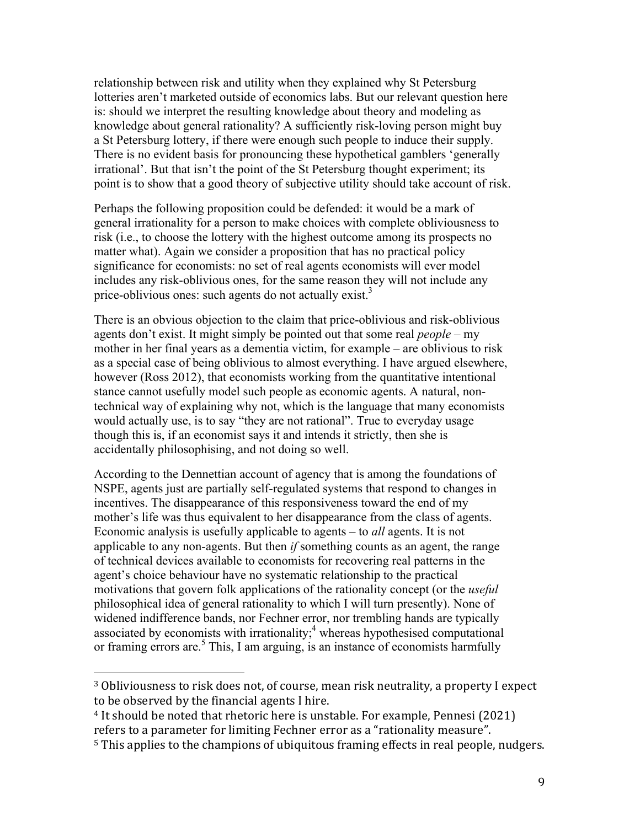relationship between risk and utility when they explained why St Petersburg lotteries aren't marketed outside of economics labs. But our relevant question here is: should we interpret the resulting knowledge about theory and modeling as knowledge about general rationality? A sufficiently risk-loving person might buy a St Petersburg lottery, if there were enough such people to induce their supply. There is no evident basis for pronouncing these hypothetical gamblers 'generally irrational'. But that isn't the point of the St Petersburg thought experiment; its point is to show that a good theory of subjective utility should take account of risk.

Perhaps the following proposition could be defended: it would be a mark of general irrationality for a person to make choices with complete obliviousness to risk (i.e., to choose the lottery with the highest outcome among its prospects no matter what). Again we consider a proposition that has no practical policy significance for economists: no set of real agents economists will ever model includes any risk-oblivious ones, for the same reason they will not include any price-oblivious ones: such agents do not actually exist.<sup>3</sup>

There is an obvious objection to the claim that price-oblivious and risk-oblivious agents don't exist. It might simply be pointed out that some real *people* – my mother in her final years as a dementia victim, for example – are oblivious to risk as a special case of being oblivious to almost everything. I have argued elsewhere, however (Ross 2012), that economists working from the quantitative intentional stance cannot usefully model such people as economic agents. A natural, nontechnical way of explaining why not, which is the language that many economists would actually use, is to say "they are not rational". True to everyday usage though this is, if an economist says it and intends it strictly, then she is accidentally philosophising, and not doing so well.

According to the Dennettian account of agency that is among the foundations of NSPE, agents just are partially self-regulated systems that respond to changes in incentives. The disappearance of this responsiveness toward the end of my mother's life was thus equivalent to her disappearance from the class of agents. Economic analysis is usefully applicable to agents – to *all* agents. It is not applicable to any non-agents. But then *if* something counts as an agent, the range of technical devices available to economists for recovering real patterns in the agent's choice behaviour have no systematic relationship to the practical motivations that govern folk applications of the rationality concept (or the *useful* philosophical idea of general rationality to which I will turn presently). None of widened indifference bands, nor Fechner error, nor trembling hands are typically associated by economists with irrationality;<sup>4</sup> whereas hypothesised computational or framing errors are. $5$  This, I am arguing, is an instance of economists harmfully

 $3$  Obliviousness to risk does not, of course, mean risk neutrality, a property I expect to be observed by the financial agents I hire.

<sup>&</sup>lt;sup>4</sup> It should be noted that rhetoric here is unstable. For example, Pennesi (2021) refers to a parameter for limiting Fechner error as a "rationality measure".

<sup>&</sup>lt;sup>5</sup> This applies to the champions of ubiquitous framing effects in real people, nudgers.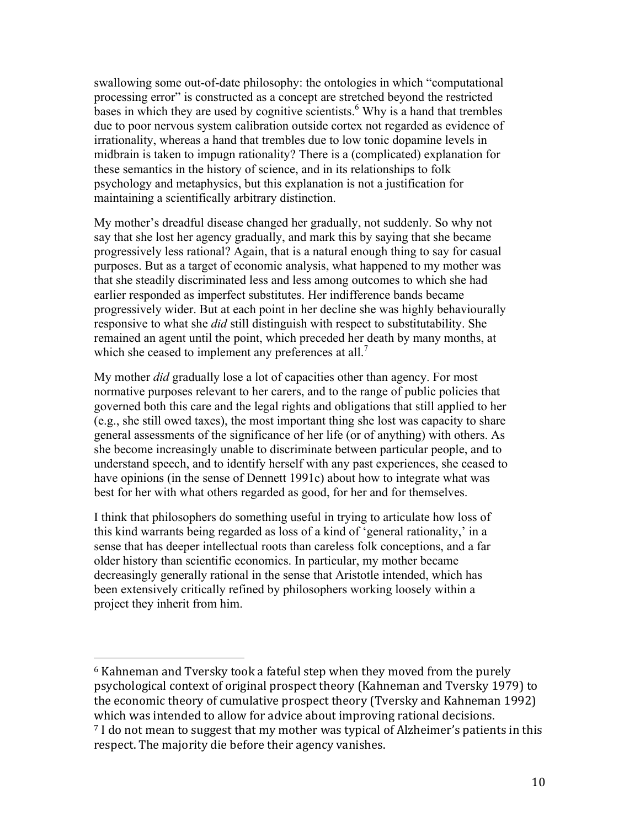swallowing some out-of-date philosophy: the ontologies in which "computational processing error" is constructed as a concept are stretched beyond the restricted bases in which they are used by cognitive scientists.<sup>6</sup> Why is a hand that trembles due to poor nervous system calibration outside cortex not regarded as evidence of irrationality, whereas a hand that trembles due to low tonic dopamine levels in midbrain is taken to impugn rationality? There is a (complicated) explanation for these semantics in the history of science, and in its relationships to folk psychology and metaphysics, but this explanation is not a justification for maintaining a scientifically arbitrary distinction.

My mother's dreadful disease changed her gradually, not suddenly. So why not say that she lost her agency gradually, and mark this by saying that she became progressively less rational? Again, that is a natural enough thing to say for casual purposes. But as a target of economic analysis, what happened to my mother was that she steadily discriminated less and less among outcomes to which she had earlier responded as imperfect substitutes. Her indifference bands became progressively wider. But at each point in her decline she was highly behaviourally responsive to what she *did* still distinguish with respect to substitutability. She remained an agent until the point, which preceded her death by many months, at which she ceased to implement any preferences at all.<sup>7</sup>

My mother *did* gradually lose a lot of capacities other than agency. For most normative purposes relevant to her carers, and to the range of public policies that governed both this care and the legal rights and obligations that still applied to her (e.g., she still owed taxes), the most important thing she lost was capacity to share general assessments of the significance of her life (or of anything) with others. As she become increasingly unable to discriminate between particular people, and to understand speech, and to identify herself with any past experiences, she ceased to have opinions (in the sense of Dennett 1991c) about how to integrate what was best for her with what others regarded as good, for her and for themselves.

I think that philosophers do something useful in trying to articulate how loss of this kind warrants being regarded as loss of a kind of 'general rationality,' in a sense that has deeper intellectual roots than careless folk conceptions, and a far older history than scientific economics. In particular, my mother became decreasingly generally rational in the sense that Aristotle intended, which has been extensively critically refined by philosophers working loosely within a project they inherit from him.

 $6$  Kahneman and Tversky took a fateful step when they moved from the purely psychological context of original prospect theory (Kahneman and Tversky 1979) to the economic theory of cumulative prospect theory (Tversky and Kahneman 1992) which was intended to allow for advice about improving rational decisions.

 $7$  I do not mean to suggest that my mother was typical of Alzheimer's patients in this respect. The majority die before their agency vanishes.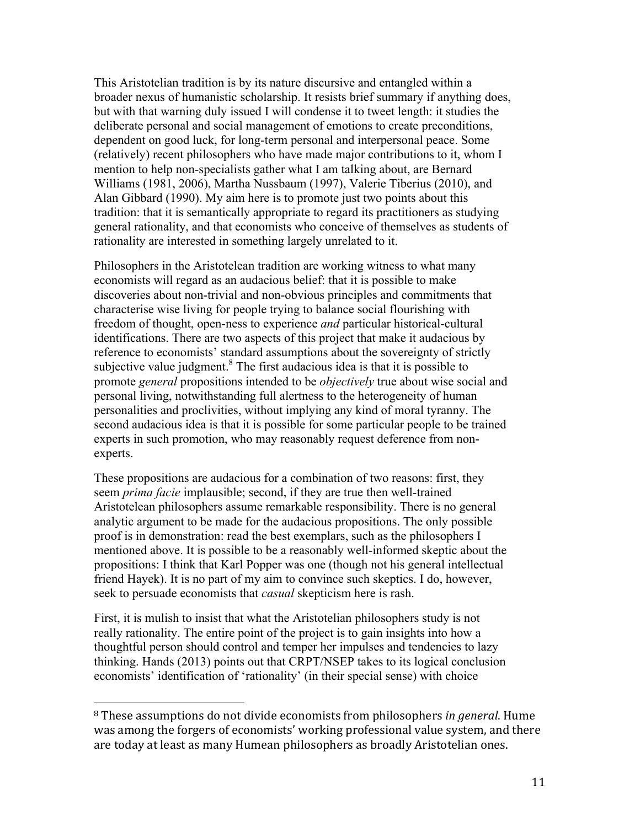This Aristotelian tradition is by its nature discursive and entangled within a broader nexus of humanistic scholarship. It resists brief summary if anything does, but with that warning duly issued I will condense it to tweet length: it studies the deliberate personal and social management of emotions to create preconditions, dependent on good luck, for long-term personal and interpersonal peace. Some (relatively) recent philosophers who have made major contributions to it, whom I mention to help non-specialists gather what I am talking about, are Bernard Williams (1981, 2006), Martha Nussbaum (1997), Valerie Tiberius (2010), and Alan Gibbard (1990). My aim here is to promote just two points about this tradition: that it is semantically appropriate to regard its practitioners as studying general rationality, and that economists who conceive of themselves as students of rationality are interested in something largely unrelated to it.

Philosophers in the Aristotelean tradition are working witness to what many economists will regard as an audacious belief: that it is possible to make discoveries about non-trivial and non-obvious principles and commitments that characterise wise living for people trying to balance social flourishing with freedom of thought, open-ness to experience *and* particular historical-cultural identifications. There are two aspects of this project that make it audacious by reference to economists' standard assumptions about the sovereignty of strictly subjective value judgment. $8$  The first audacious idea is that it is possible to promote *general* propositions intended to be *objectively* true about wise social and personal living, notwithstanding full alertness to the heterogeneity of human personalities and proclivities, without implying any kind of moral tyranny. The second audacious idea is that it is possible for some particular people to be trained experts in such promotion, who may reasonably request deference from nonexperts.

These propositions are audacious for a combination of two reasons: first, they seem *prima facie* implausible; second, if they are true then well-trained Aristotelean philosophers assume remarkable responsibility. There is no general analytic argument to be made for the audacious propositions. The only possible proof is in demonstration: read the best exemplars, such as the philosophers I mentioned above. It is possible to be a reasonably well-informed skeptic about the propositions: I think that Karl Popper was one (though not his general intellectual friend Hayek). It is no part of my aim to convince such skeptics. I do, however, seek to persuade economists that *casual* skepticism here is rash.

First, it is mulish to insist that what the Aristotelian philosophers study is not really rationality. The entire point of the project is to gain insights into how a thoughtful person should control and temper her impulses and tendencies to lazy thinking. Hands (2013) points out that CRPT/NSEP takes to its logical conclusion economists' identification of 'rationality' (in their special sense) with choice

<sup>&</sup>lt;sup>8</sup> These assumptions do not divide economists from philosophers *in general*. Hume was among the forgers of economists' working professional value system, and there are today at least as many Humean philosophers as broadly Aristotelian ones.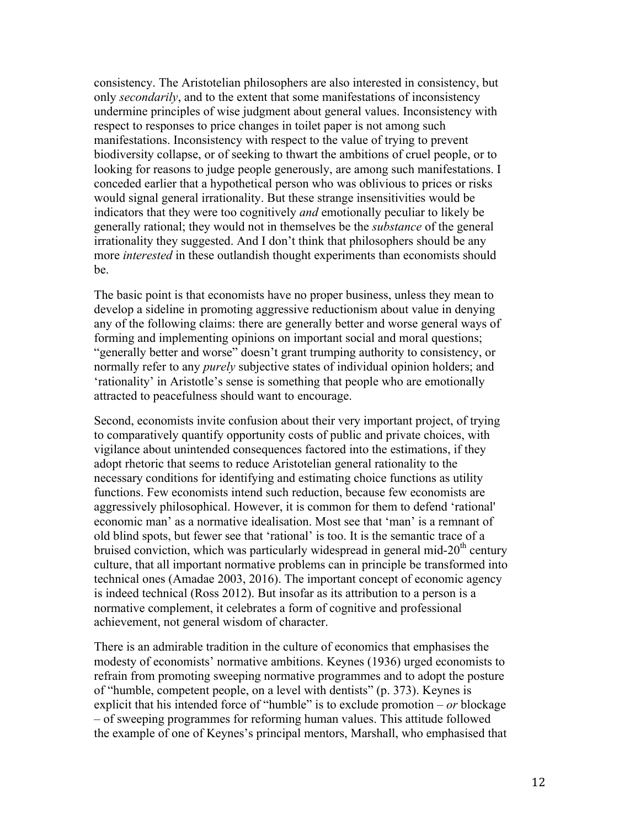consistency. The Aristotelian philosophers are also interested in consistency, but only *secondarily*, and to the extent that some manifestations of inconsistency undermine principles of wise judgment about general values. Inconsistency with respect to responses to price changes in toilet paper is not among such manifestations. Inconsistency with respect to the value of trying to prevent biodiversity collapse, or of seeking to thwart the ambitions of cruel people, or to looking for reasons to judge people generously, are among such manifestations. I conceded earlier that a hypothetical person who was oblivious to prices or risks would signal general irrationality. But these strange insensitivities would be indicators that they were too cognitively *and* emotionally peculiar to likely be generally rational; they would not in themselves be the *substance* of the general irrationality they suggested. And I don't think that philosophers should be any more *interested* in these outlandish thought experiments than economists should be.

The basic point is that economists have no proper business, unless they mean to develop a sideline in promoting aggressive reductionism about value in denying any of the following claims: there are generally better and worse general ways of forming and implementing opinions on important social and moral questions; "generally better and worse" doesn't grant trumping authority to consistency, or normally refer to any *purely* subjective states of individual opinion holders; and 'rationality' in Aristotle's sense is something that people who are emotionally attracted to peacefulness should want to encourage.

Second, economists invite confusion about their very important project, of trying to comparatively quantify opportunity costs of public and private choices, with vigilance about unintended consequences factored into the estimations, if they adopt rhetoric that seems to reduce Aristotelian general rationality to the necessary conditions for identifying and estimating choice functions as utility functions. Few economists intend such reduction, because few economists are aggressively philosophical. However, it is common for them to defend 'rational' economic man' as a normative idealisation. Most see that 'man' is a remnant of old blind spots, but fewer see that 'rational' is too. It is the semantic trace of a bruised conviction, which was particularly widespread in general mid- $20<sup>th</sup>$  century culture, that all important normative problems can in principle be transformed into technical ones (Amadae 2003, 2016). The important concept of economic agency is indeed technical (Ross 2012). But insofar as its attribution to a person is a normative complement, it celebrates a form of cognitive and professional achievement, not general wisdom of character.

There is an admirable tradition in the culture of economics that emphasises the modesty of economists' normative ambitions. Keynes (1936) urged economists to refrain from promoting sweeping normative programmes and to adopt the posture of "humble, competent people, on a level with dentists" (p. 373). Keynes is explicit that his intended force of "humble" is to exclude promotion – *or* blockage – of sweeping programmes for reforming human values. This attitude followed the example of one of Keynes's principal mentors, Marshall, who emphasised that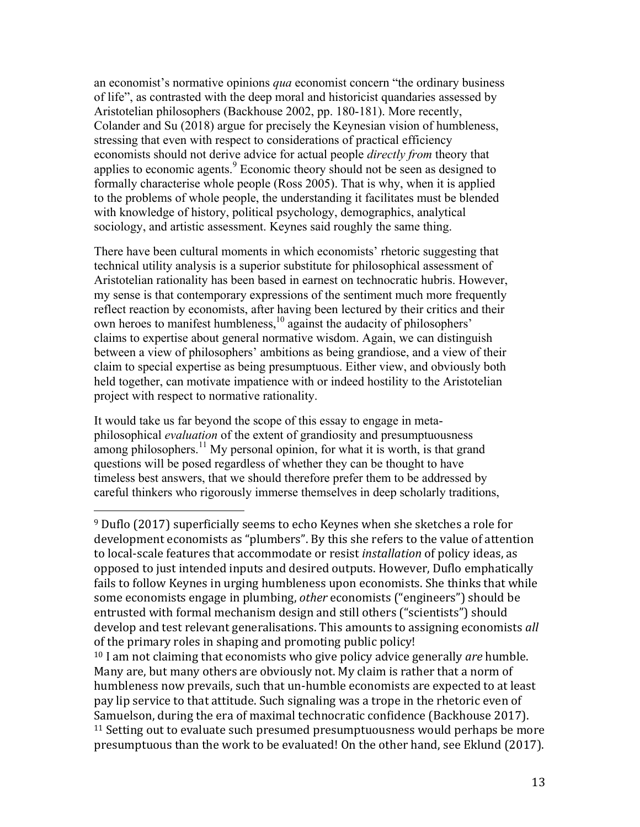an economist's normative opinions *qua* economist concern "the ordinary business of life", as contrasted with the deep moral and historicist quandaries assessed by Aristotelian philosophers (Backhouse 2002, pp. 180-181). More recently, Colander and Su (2018) argue for precisely the Keynesian vision of humbleness, stressing that even with respect to considerations of practical efficiency economists should not derive advice for actual people *directly from* theory that applies to economic agents. $9$  Economic theory should not be seen as designed to formally characterise whole people (Ross 2005). That is why, when it is applied to the problems of whole people, the understanding it facilitates must be blended with knowledge of history, political psychology, demographics, analytical sociology, and artistic assessment. Keynes said roughly the same thing.

There have been cultural moments in which economists' rhetoric suggesting that technical utility analysis is a superior substitute for philosophical assessment of Aristotelian rationality has been based in earnest on technocratic hubris. However, my sense is that contemporary expressions of the sentiment much more frequently reflect reaction by economists, after having been lectured by their critics and their own heroes to manifest humbleness,<sup>10</sup> against the audacity of philosophers' claims to expertise about general normative wisdom. Again, we can distinguish between a view of philosophers' ambitions as being grandiose, and a view of their claim to special expertise as being presumptuous. Either view, and obviously both held together, can motivate impatience with or indeed hostility to the Aristotelian project with respect to normative rationality.

It would take us far beyond the scope of this essay to engage in metaphilosophical *evaluation* of the extent of grandiosity and presumptuousness among philosophers.<sup>11</sup> My personal opinion, for what it is worth, is that grand questions will be posed regardless of whether they can be thought to have timeless best answers, that we should therefore prefer them to be addressed by careful thinkers who rigorously immerse themselves in deep scholarly traditions,

 $9$  Duflo (2017) superficially seems to echo Keynes when she sketches a role for development economists as "plumbers". By this she refers to the value of attention to local-scale features that accommodate or resist *installation* of policy ideas, as opposed to just intended inputs and desired outputs. However, Duflo emphatically fails to follow Keynes in urging humbleness upon economists. She thinks that while some economists engage in plumbing, *other* economists ("engineers") should be entrusted with formal mechanism design and still others ("scientists") should develop and test relevant generalisations. This amounts to assigning economists all of the primary roles in shaping and promoting public policy! <sup>10</sup> I am not claiming that economists who give policy advice generally *are* humble. Many are, but many others are obviously not. My claim is rather that a norm of humbleness now prevails, such that un-humble economists are expected to at least pay lip service to that attitude. Such signaling was a trope in the rhetoric even of Samuelson, during the era of maximal technocratic confidence (Backhouse 2017).  $11$  Setting out to evaluate such presumed presumptuousness would perhaps be more presumptuous than the work to be evaluated! On the other hand, see Eklund (2017).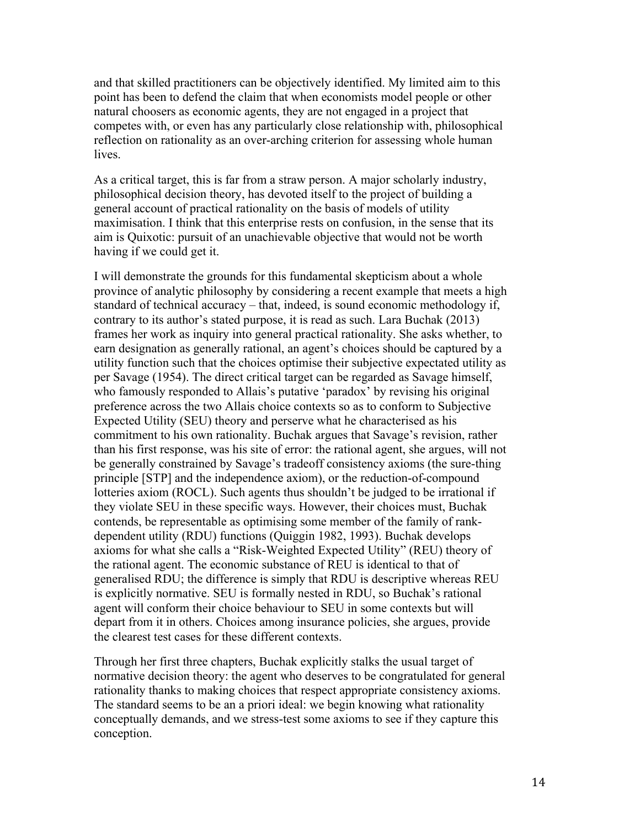and that skilled practitioners can be objectively identified. My limited aim to this point has been to defend the claim that when economists model people or other natural choosers as economic agents, they are not engaged in a project that competes with, or even has any particularly close relationship with, philosophical reflection on rationality as an over-arching criterion for assessing whole human lives.

As a critical target, this is far from a straw person. A major scholarly industry, philosophical decision theory, has devoted itself to the project of building a general account of practical rationality on the basis of models of utility maximisation. I think that this enterprise rests on confusion, in the sense that its aim is Quixotic: pursuit of an unachievable objective that would not be worth having if we could get it.

I will demonstrate the grounds for this fundamental skepticism about a whole province of analytic philosophy by considering a recent example that meets a high standard of technical accuracy – that, indeed, is sound economic methodology if, contrary to its author's stated purpose, it is read as such. Lara Buchak (2013) frames her work as inquiry into general practical rationality. She asks whether, to earn designation as generally rational, an agent's choices should be captured by a utility function such that the choices optimise their subjective expectated utility as per Savage (1954). The direct critical target can be regarded as Savage himself, who famously responded to Allais's putative 'paradox' by revising his original preference across the two Allais choice contexts so as to conform to Subjective Expected Utility (SEU) theory and perserve what he characterised as his commitment to his own rationality. Buchak argues that Savage's revision, rather than his first response, was his site of error: the rational agent, she argues, will not be generally constrained by Savage's tradeoff consistency axioms (the sure-thing principle [STP] and the independence axiom), or the reduction-of-compound lotteries axiom (ROCL). Such agents thus shouldn't be judged to be irrational if they violate SEU in these specific ways. However, their choices must, Buchak contends, be representable as optimising some member of the family of rankdependent utility (RDU) functions (Quiggin 1982, 1993). Buchak develops axioms for what she calls a "Risk-Weighted Expected Utility" (REU) theory of the rational agent. The economic substance of REU is identical to that of generalised RDU; the difference is simply that RDU is descriptive whereas REU is explicitly normative. SEU is formally nested in RDU, so Buchak's rational agent will conform their choice behaviour to SEU in some contexts but will depart from it in others. Choices among insurance policies, she argues, provide the clearest test cases for these different contexts.

Through her first three chapters, Buchak explicitly stalks the usual target of normative decision theory: the agent who deserves to be congratulated for general rationality thanks to making choices that respect appropriate consistency axioms. The standard seems to be an a priori ideal: we begin knowing what rationality conceptually demands, and we stress-test some axioms to see if they capture this conception.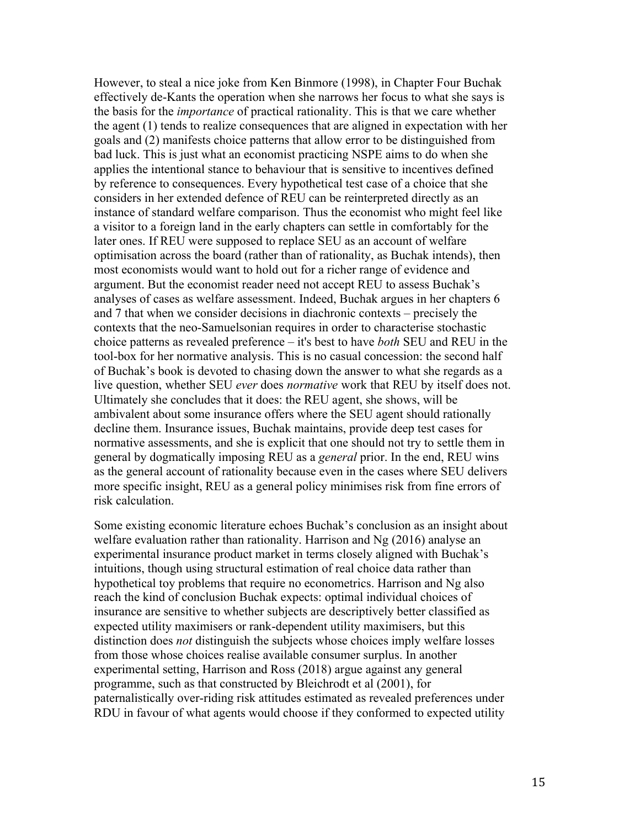However, to steal a nice joke from Ken Binmore (1998), in Chapter Four Buchak effectively de-Kants the operation when she narrows her focus to what she says is the basis for the *importance* of practical rationality. This is that we care whether the agent (1) tends to realize consequences that are aligned in expectation with her goals and (2) manifests choice patterns that allow error to be distinguished from bad luck. This is just what an economist practicing NSPE aims to do when she applies the intentional stance to behaviour that is sensitive to incentives defined by reference to consequences. Every hypothetical test case of a choice that she considers in her extended defence of REU can be reinterpreted directly as an instance of standard welfare comparison. Thus the economist who might feel like a visitor to a foreign land in the early chapters can settle in comfortably for the later ones. If REU were supposed to replace SEU as an account of welfare optimisation across the board (rather than of rationality, as Buchak intends), then most economists would want to hold out for a richer range of evidence and argument. But the economist reader need not accept REU to assess Buchak's analyses of cases as welfare assessment. Indeed, Buchak argues in her chapters 6 and 7 that when we consider decisions in diachronic contexts – precisely the contexts that the neo-Samuelsonian requires in order to characterise stochastic choice patterns as revealed preference – it's best to have *both* SEU and REU in the tool-box for her normative analysis. This is no casual concession: the second half of Buchak's book is devoted to chasing down the answer to what she regards as a live question, whether SEU *ever* does *normative* work that REU by itself does not. Ultimately she concludes that it does: the REU agent, she shows, will be ambivalent about some insurance offers where the SEU agent should rationally decline them. Insurance issues, Buchak maintains, provide deep test cases for normative assessments, and she is explicit that one should not try to settle them in general by dogmatically imposing REU as a *general* prior. In the end, REU wins as the general account of rationality because even in the cases where SEU delivers more specific insight, REU as a general policy minimises risk from fine errors of risk calculation.

Some existing economic literature echoes Buchak's conclusion as an insight about welfare evaluation rather than rationality. Harrison and Ng (2016) analyse an experimental insurance product market in terms closely aligned with Buchak's intuitions, though using structural estimation of real choice data rather than hypothetical toy problems that require no econometrics. Harrison and Ng also reach the kind of conclusion Buchak expects: optimal individual choices of insurance are sensitive to whether subjects are descriptively better classified as expected utility maximisers or rank-dependent utility maximisers, but this distinction does *not* distinguish the subjects whose choices imply welfare losses from those whose choices realise available consumer surplus. In another experimental setting, Harrison and Ross (2018) argue against any general programme, such as that constructed by Bleichrodt et al (2001), for paternalistically over-riding risk attitudes estimated as revealed preferences under RDU in favour of what agents would choose if they conformed to expected utility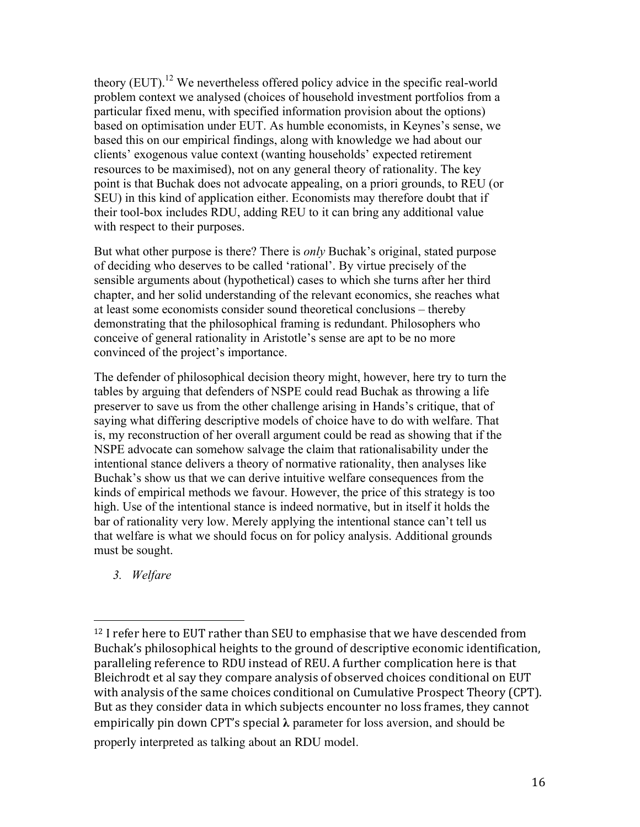theory  $(EUT)$ .<sup>12</sup> We nevertheless offered policy advice in the specific real-world problem context we analysed (choices of household investment portfolios from a particular fixed menu, with specified information provision about the options) based on optimisation under EUT. As humble economists, in Keynes's sense, we based this on our empirical findings, along with knowledge we had about our clients' exogenous value context (wanting households' expected retirement resources to be maximised), not on any general theory of rationality. The key point is that Buchak does not advocate appealing, on a priori grounds, to REU (or SEU) in this kind of application either. Economists may therefore doubt that if their tool-box includes RDU, adding REU to it can bring any additional value with respect to their purposes.

But what other purpose is there? There is *only* Buchak's original, stated purpose of deciding who deserves to be called 'rational'. By virtue precisely of the sensible arguments about (hypothetical) cases to which she turns after her third chapter, and her solid understanding of the relevant economics, she reaches what at least some economists consider sound theoretical conclusions – thereby demonstrating that the philosophical framing is redundant. Philosophers who conceive of general rationality in Aristotle's sense are apt to be no more convinced of the project's importance.

The defender of philosophical decision theory might, however, here try to turn the tables by arguing that defenders of NSPE could read Buchak as throwing a life preserver to save us from the other challenge arising in Hands's critique, that of saying what differing descriptive models of choice have to do with welfare. That is, my reconstruction of her overall argument could be read as showing that if the NSPE advocate can somehow salvage the claim that rationalisability under the intentional stance delivers a theory of normative rationality, then analyses like Buchak's show us that we can derive intuitive welfare consequences from the kinds of empirical methods we favour. However, the price of this strategy is too high. Use of the intentional stance is indeed normative, but in itself it holds the bar of rationality very low. Merely applying the intentional stance can't tell us that welfare is what we should focus on for policy analysis. Additional grounds must be sought.

*3. Welfare*

 $12$  I refer here to EUT rather than SEU to emphasise that we have descended from Buchak's philosophical heights to the ground of descriptive economic identification, paralleling reference to RDU instead of REU. A further complication here is that Bleichrodt et al say they compare analysis of observed choices conditional on EUT with analysis of the same choices conditional on Cumulative Prospect Theory (CPT). But as they consider data in which subjects encounter no loss frames, they cannot empirically pin down CPT's special  $\lambda$  parameter for loss aversion, and should be properly interpreted as talking about an RDU model.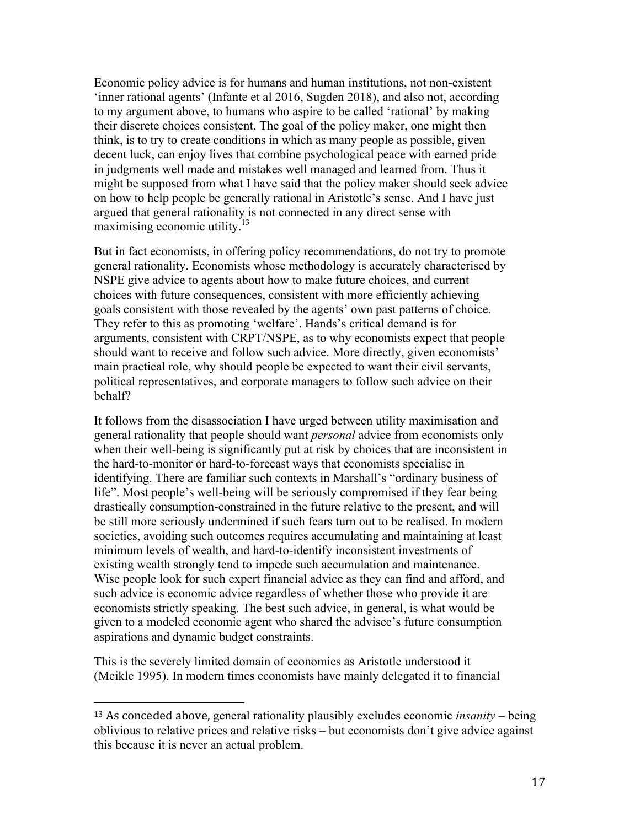Economic policy advice is for humans and human institutions, not non-existent 'inner rational agents' (Infante et al 2016, Sugden 2018), and also not, according to my argument above, to humans who aspire to be called 'rational' by making their discrete choices consistent. The goal of the policy maker, one might then think, is to try to create conditions in which as many people as possible, given decent luck, can enjoy lives that combine psychological peace with earned pride in judgments well made and mistakes well managed and learned from. Thus it might be supposed from what I have said that the policy maker should seek advice on how to help people be generally rational in Aristotle's sense. And I have just argued that general rationality is not connected in any direct sense with maximising economic utility.<sup>13</sup>

But in fact economists, in offering policy recommendations, do not try to promote general rationality. Economists whose methodology is accurately characterised by NSPE give advice to agents about how to make future choices, and current choices with future consequences, consistent with more efficiently achieving goals consistent with those revealed by the agents' own past patterns of choice. They refer to this as promoting 'welfare'. Hands's critical demand is for arguments, consistent with CRPT/NSPE, as to why economists expect that people should want to receive and follow such advice. More directly, given economists' main practical role, why should people be expected to want their civil servants, political representatives, and corporate managers to follow such advice on their behalf?

It follows from the disassociation I have urged between utility maximisation and general rationality that people should want *personal* advice from economists only when their well-being is significantly put at risk by choices that are inconsistent in the hard-to-monitor or hard-to-forecast ways that economists specialise in identifying. There are familiar such contexts in Marshall's "ordinary business of life". Most people's well-being will be seriously compromised if they fear being drastically consumption-constrained in the future relative to the present, and will be still more seriously undermined if such fears turn out to be realised. In modern societies, avoiding such outcomes requires accumulating and maintaining at least minimum levels of wealth, and hard-to-identify inconsistent investments of existing wealth strongly tend to impede such accumulation and maintenance. Wise people look for such expert financial advice as they can find and afford, and such advice is economic advice regardless of whether those who provide it are economists strictly speaking. The best such advice, in general, is what would be given to a modeled economic agent who shared the advisee's future consumption aspirations and dynamic budget constraints.

This is the severely limited domain of economics as Aristotle understood it (Meikle 1995). In modern times economists have mainly delegated it to financial

<sup>&</sup>lt;sup>13</sup> As conceded above, general rationality plausibly excludes economic *insanity* – being oblivious to relative prices and relative risks – but economists don't give advice against this because it is never an actual problem.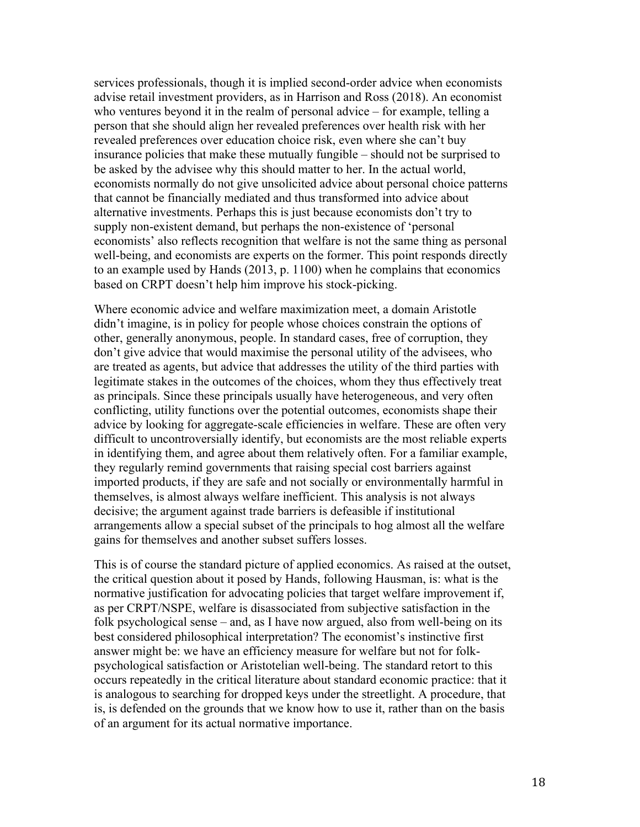services professionals, though it is implied second-order advice when economists advise retail investment providers, as in Harrison and Ross (2018). An economist who ventures beyond it in the realm of personal advice – for example, telling a person that she should align her revealed preferences over health risk with her revealed preferences over education choice risk, even where she can't buy insurance policies that make these mutually fungible – should not be surprised to be asked by the advisee why this should matter to her. In the actual world, economists normally do not give unsolicited advice about personal choice patterns that cannot be financially mediated and thus transformed into advice about alternative investments. Perhaps this is just because economists don't try to supply non-existent demand, but perhaps the non-existence of 'personal economists' also reflects recognition that welfare is not the same thing as personal well-being, and economists are experts on the former. This point responds directly to an example used by Hands (2013, p. 1100) when he complains that economics based on CRPT doesn't help him improve his stock-picking.

Where economic advice and welfare maximization meet, a domain Aristotle didn't imagine, is in policy for people whose choices constrain the options of other, generally anonymous, people. In standard cases, free of corruption, they don't give advice that would maximise the personal utility of the advisees, who are treated as agents, but advice that addresses the utility of the third parties with legitimate stakes in the outcomes of the choices, whom they thus effectively treat as principals. Since these principals usually have heterogeneous, and very often conflicting, utility functions over the potential outcomes, economists shape their advice by looking for aggregate-scale efficiencies in welfare. These are often very difficult to uncontroversially identify, but economists are the most reliable experts in identifying them, and agree about them relatively often. For a familiar example, they regularly remind governments that raising special cost barriers against imported products, if they are safe and not socially or environmentally harmful in themselves, is almost always welfare inefficient. This analysis is not always decisive; the argument against trade barriers is defeasible if institutional arrangements allow a special subset of the principals to hog almost all the welfare gains for themselves and another subset suffers losses.

This is of course the standard picture of applied economics. As raised at the outset, the critical question about it posed by Hands, following Hausman, is: what is the normative justification for advocating policies that target welfare improvement if, as per CRPT/NSPE, welfare is disassociated from subjective satisfaction in the folk psychological sense – and, as I have now argued, also from well-being on its best considered philosophical interpretation? The economist's instinctive first answer might be: we have an efficiency measure for welfare but not for folkpsychological satisfaction or Aristotelian well-being. The standard retort to this occurs repeatedly in the critical literature about standard economic practice: that it is analogous to searching for dropped keys under the streetlight. A procedure, that is, is defended on the grounds that we know how to use it, rather than on the basis of an argument for its actual normative importance.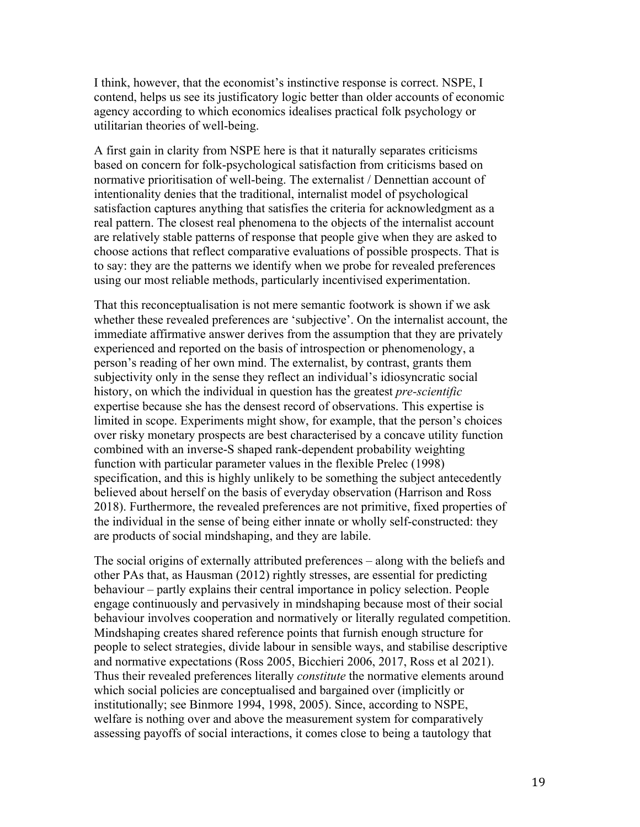I think, however, that the economist's instinctive response is correct. NSPE, I contend, helps us see its justificatory logic better than older accounts of economic agency according to which economics idealises practical folk psychology or utilitarian theories of well-being.

A first gain in clarity from NSPE here is that it naturally separates criticisms based on concern for folk-psychological satisfaction from criticisms based on normative prioritisation of well-being. The externalist / Dennettian account of intentionality denies that the traditional, internalist model of psychological satisfaction captures anything that satisfies the criteria for acknowledgment as a real pattern. The closest real phenomena to the objects of the internalist account are relatively stable patterns of response that people give when they are asked to choose actions that reflect comparative evaluations of possible prospects. That is to say: they are the patterns we identify when we probe for revealed preferences using our most reliable methods, particularly incentivised experimentation.

That this reconceptualisation is not mere semantic footwork is shown if we ask whether these revealed preferences are 'subjective'. On the internalist account, the immediate affirmative answer derives from the assumption that they are privately experienced and reported on the basis of introspection or phenomenology, a person's reading of her own mind. The externalist, by contrast, grants them subjectivity only in the sense they reflect an individual's idiosyncratic social history, on which the individual in question has the greatest *pre-scientific*  expertise because she has the densest record of observations. This expertise is limited in scope. Experiments might show, for example, that the person's choices over risky monetary prospects are best characterised by a concave utility function combined with an inverse-S shaped rank-dependent probability weighting function with particular parameter values in the flexible Prelec (1998) specification, and this is highly unlikely to be something the subject antecedently believed about herself on the basis of everyday observation (Harrison and Ross 2018). Furthermore, the revealed preferences are not primitive, fixed properties of the individual in the sense of being either innate or wholly self-constructed: they are products of social mindshaping, and they are labile.

The social origins of externally attributed preferences – along with the beliefs and other PAs that, as Hausman (2012) rightly stresses, are essential for predicting behaviour – partly explains their central importance in policy selection. People engage continuously and pervasively in mindshaping because most of their social behaviour involves cooperation and normatively or literally regulated competition. Mindshaping creates shared reference points that furnish enough structure for people to select strategies, divide labour in sensible ways, and stabilise descriptive and normative expectations (Ross 2005, Bicchieri 2006, 2017, Ross et al 2021). Thus their revealed preferences literally *constitute* the normative elements around which social policies are conceptualised and bargained over (implicitly or institutionally; see Binmore 1994, 1998, 2005). Since, according to NSPE, welfare is nothing over and above the measurement system for comparatively assessing payoffs of social interactions, it comes close to being a tautology that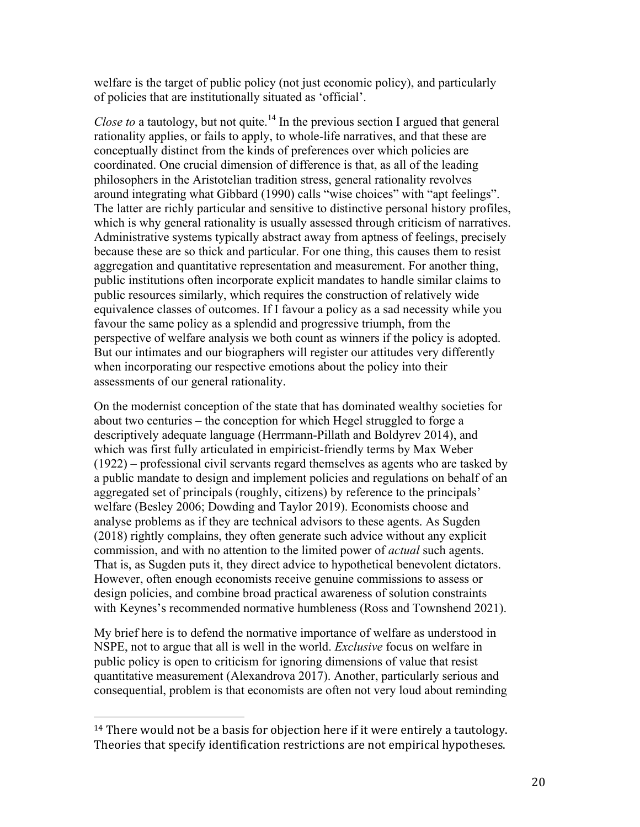welfare is the target of public policy (not just economic policy), and particularly of policies that are institutionally situated as 'official'.

*Close to* a tautology, but not quite.<sup>14</sup> In the previous section I argued that general rationality applies, or fails to apply, to whole-life narratives, and that these are conceptually distinct from the kinds of preferences over which policies are coordinated. One crucial dimension of difference is that, as all of the leading philosophers in the Aristotelian tradition stress, general rationality revolves around integrating what Gibbard (1990) calls "wise choices" with "apt feelings". The latter are richly particular and sensitive to distinctive personal history profiles, which is why general rationality is usually assessed through criticism of narratives. Administrative systems typically abstract away from aptness of feelings, precisely because these are so thick and particular. For one thing, this causes them to resist aggregation and quantitative representation and measurement. For another thing, public institutions often incorporate explicit mandates to handle similar claims to public resources similarly, which requires the construction of relatively wide equivalence classes of outcomes. If I favour a policy as a sad necessity while you favour the same policy as a splendid and progressive triumph, from the perspective of welfare analysis we both count as winners if the policy is adopted. But our intimates and our biographers will register our attitudes very differently when incorporating our respective emotions about the policy into their assessments of our general rationality.

On the modernist conception of the state that has dominated wealthy societies for about two centuries – the conception for which Hegel struggled to forge a descriptively adequate language (Herrmann-Pillath and Boldyrev 2014), and which was first fully articulated in empiricist-friendly terms by Max Weber (1922) – professional civil servants regard themselves as agents who are tasked by a public mandate to design and implement policies and regulations on behalf of an aggregated set of principals (roughly, citizens) by reference to the principals' welfare (Besley 2006; Dowding and Taylor 2019). Economists choose and analyse problems as if they are technical advisors to these agents. As Sugden (2018) rightly complains, they often generate such advice without any explicit commission, and with no attention to the limited power of *actual* such agents. That is, as Sugden puts it, they direct advice to hypothetical benevolent dictators. However, often enough economists receive genuine commissions to assess or design policies, and combine broad practical awareness of solution constraints with Keynes's recommended normative humbleness (Ross and Townshend 2021).

My brief here is to defend the normative importance of welfare as understood in NSPE, not to argue that all is well in the world. *Exclusive* focus on welfare in public policy is open to criticism for ignoring dimensions of value that resist quantitative measurement (Alexandrova 2017). Another, particularly serious and consequential, problem is that economists are often not very loud about reminding

 $14$  There would not be a basis for objection here if it were entirely a tautology. Theories that specify identification restrictions are not empirical hypotheses.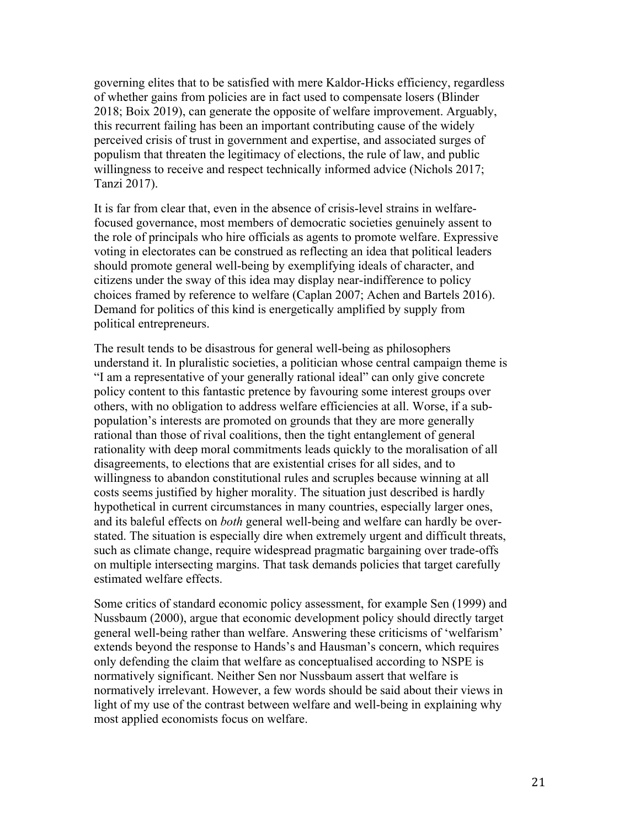governing elites that to be satisfied with mere Kaldor-Hicks efficiency, regardless of whether gains from policies are in fact used to compensate losers (Blinder 2018; Boix 2019), can generate the opposite of welfare improvement. Arguably, this recurrent failing has been an important contributing cause of the widely perceived crisis of trust in government and expertise, and associated surges of populism that threaten the legitimacy of elections, the rule of law, and public willingness to receive and respect technically informed advice (Nichols 2017; Tanzi 2017).

It is far from clear that, even in the absence of crisis-level strains in welfarefocused governance, most members of democratic societies genuinely assent to the role of principals who hire officials as agents to promote welfare. Expressive voting in electorates can be construed as reflecting an idea that political leaders should promote general well-being by exemplifying ideals of character, and citizens under the sway of this idea may display near-indifference to policy choices framed by reference to welfare (Caplan 2007; Achen and Bartels 2016). Demand for politics of this kind is energetically amplified by supply from political entrepreneurs.

The result tends to be disastrous for general well-being as philosophers understand it. In pluralistic societies, a politician whose central campaign theme is "I am a representative of your generally rational ideal" can only give concrete policy content to this fantastic pretence by favouring some interest groups over others, with no obligation to address welfare efficiencies at all. Worse, if a subpopulation's interests are promoted on grounds that they are more generally rational than those of rival coalitions, then the tight entanglement of general rationality with deep moral commitments leads quickly to the moralisation of all disagreements, to elections that are existential crises for all sides, and to willingness to abandon constitutional rules and scruples because winning at all costs seems justified by higher morality. The situation just described is hardly hypothetical in current circumstances in many countries, especially larger ones, and its baleful effects on *both* general well-being and welfare can hardly be overstated. The situation is especially dire when extremely urgent and difficult threats, such as climate change, require widespread pragmatic bargaining over trade-offs on multiple intersecting margins. That task demands policies that target carefully estimated welfare effects.

Some critics of standard economic policy assessment, for example Sen (1999) and Nussbaum (2000), argue that economic development policy should directly target general well-being rather than welfare. Answering these criticisms of 'welfarism' extends beyond the response to Hands's and Hausman's concern, which requires only defending the claim that welfare as conceptualised according to NSPE is normatively significant. Neither Sen nor Nussbaum assert that welfare is normatively irrelevant. However, a few words should be said about their views in light of my use of the contrast between welfare and well-being in explaining why most applied economists focus on welfare.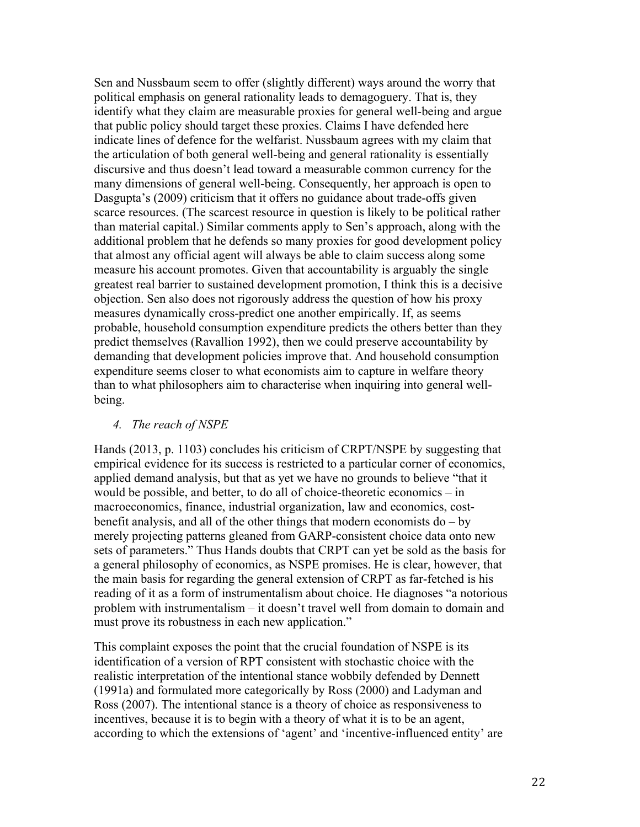Sen and Nussbaum seem to offer (slightly different) ways around the worry that political emphasis on general rationality leads to demagoguery. That is, they identify what they claim are measurable proxies for general well-being and argue that public policy should target these proxies. Claims I have defended here indicate lines of defence for the welfarist. Nussbaum agrees with my claim that the articulation of both general well-being and general rationality is essentially discursive and thus doesn't lead toward a measurable common currency for the many dimensions of general well-being. Consequently, her approach is open to Dasgupta's (2009) criticism that it offers no guidance about trade-offs given scarce resources. (The scarcest resource in question is likely to be political rather than material capital.) Similar comments apply to Sen's approach, along with the additional problem that he defends so many proxies for good development policy that almost any official agent will always be able to claim success along some measure his account promotes. Given that accountability is arguably the single greatest real barrier to sustained development promotion, I think this is a decisive objection. Sen also does not rigorously address the question of how his proxy measures dynamically cross-predict one another empirically. If, as seems probable, household consumption expenditure predicts the others better than they predict themselves (Ravallion 1992), then we could preserve accountability by demanding that development policies improve that. And household consumption expenditure seems closer to what economists aim to capture in welfare theory than to what philosophers aim to characterise when inquiring into general wellbeing.

## *4. The reach of NSPE*

Hands (2013, p. 1103) concludes his criticism of CRPT/NSPE by suggesting that empirical evidence for its success is restricted to a particular corner of economics, applied demand analysis, but that as yet we have no grounds to believe "that it would be possible, and better, to do all of choice-theoretic economics – in macroeconomics, finance, industrial organization, law and economics, costbenefit analysis, and all of the other things that modern economists do – by merely projecting patterns gleaned from GARP-consistent choice data onto new sets of parameters." Thus Hands doubts that CRPT can yet be sold as the basis for a general philosophy of economics, as NSPE promises. He is clear, however, that the main basis for regarding the general extension of CRPT as far-fetched is his reading of it as a form of instrumentalism about choice. He diagnoses "a notorious problem with instrumentalism – it doesn't travel well from domain to domain and must prove its robustness in each new application."

This complaint exposes the point that the crucial foundation of NSPE is its identification of a version of RPT consistent with stochastic choice with the realistic interpretation of the intentional stance wobbily defended by Dennett (1991a) and formulated more categorically by Ross (2000) and Ladyman and Ross (2007). The intentional stance is a theory of choice as responsiveness to incentives, because it is to begin with a theory of what it is to be an agent, according to which the extensions of 'agent' and 'incentive-influenced entity' are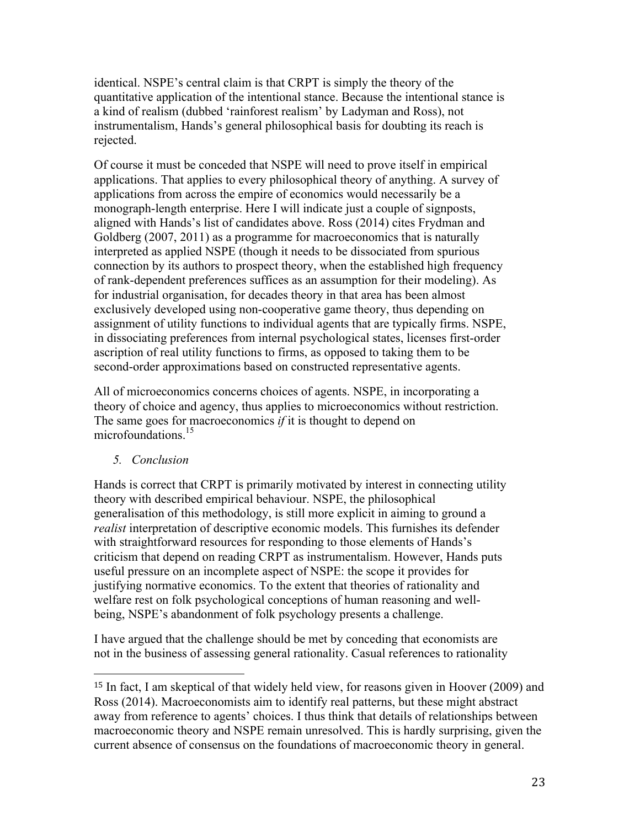identical. NSPE's central claim is that CRPT is simply the theory of the quantitative application of the intentional stance. Because the intentional stance is a kind of realism (dubbed 'rainforest realism' by Ladyman and Ross), not instrumentalism, Hands's general philosophical basis for doubting its reach is rejected.

Of course it must be conceded that NSPE will need to prove itself in empirical applications. That applies to every philosophical theory of anything. A survey of applications from across the empire of economics would necessarily be a monograph-length enterprise. Here I will indicate just a couple of signposts, aligned with Hands's list of candidates above. Ross (2014) cites Frydman and Goldberg (2007, 2011) as a programme for macroeconomics that is naturally interpreted as applied NSPE (though it needs to be dissociated from spurious connection by its authors to prospect theory, when the established high frequency of rank-dependent preferences suffices as an assumption for their modeling). As for industrial organisation, for decades theory in that area has been almost exclusively developed using non-cooperative game theory, thus depending on assignment of utility functions to individual agents that are typically firms. NSPE, in dissociating preferences from internal psychological states, licenses first-order ascription of real utility functions to firms, as opposed to taking them to be second-order approximations based on constructed representative agents.

All of microeconomics concerns choices of agents. NSPE, in incorporating a theory of choice and agency, thus applies to microeconomics without restriction. The same goes for macroeconomics *if* it is thought to depend on microfoundations.<sup>15</sup>

*5. Conclusion*

 

Hands is correct that CRPT is primarily motivated by interest in connecting utility theory with described empirical behaviour. NSPE, the philosophical generalisation of this methodology, is still more explicit in aiming to ground a *realist* interpretation of descriptive economic models. This furnishes its defender with straightforward resources for responding to those elements of Hands's criticism that depend on reading CRPT as instrumentalism. However, Hands puts useful pressure on an incomplete aspect of NSPE: the scope it provides for justifying normative economics. To the extent that theories of rationality and welfare rest on folk psychological conceptions of human reasoning and wellbeing, NSPE's abandonment of folk psychology presents a challenge.

I have argued that the challenge should be met by conceding that economists are not in the business of assessing general rationality. Casual references to rationality

<sup>15</sup> In fact, I am skeptical of that widely held view, for reasons given in Hoover (2009) and Ross (2014). Macroeconomists aim to identify real patterns, but these might abstract away from reference to agents' choices. I thus think that details of relationships between macroeconomic theory and NSPE remain unresolved. This is hardly surprising, given the current absence of consensus on the foundations of macroeconomic theory in general.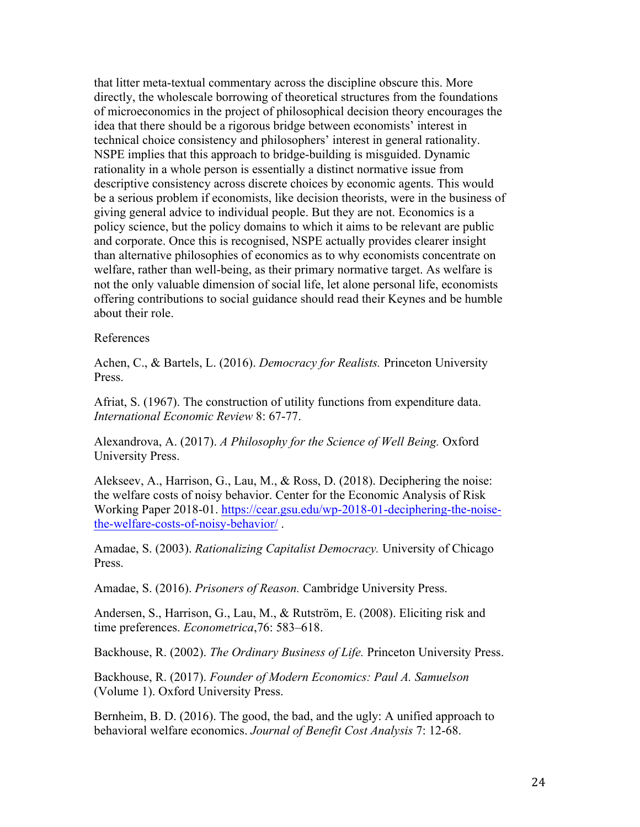that litter meta-textual commentary across the discipline obscure this. More directly, the wholescale borrowing of theoretical structures from the foundations of microeconomics in the project of philosophical decision theory encourages the idea that there should be a rigorous bridge between economists' interest in technical choice consistency and philosophers' interest in general rationality. NSPE implies that this approach to bridge-building is misguided. Dynamic rationality in a whole person is essentially a distinct normative issue from descriptive consistency across discrete choices by economic agents. This would be a serious problem if economists, like decision theorists, were in the business of giving general advice to individual people. But they are not. Economics is a policy science, but the policy domains to which it aims to be relevant are public and corporate. Once this is recognised, NSPE actually provides clearer insight than alternative philosophies of economics as to why economists concentrate on welfare, rather than well-being, as their primary normative target. As welfare is not the only valuable dimension of social life, let alone personal life, economists offering contributions to social guidance should read their Keynes and be humble about their role.

#### References

Achen, C., & Bartels, L. (2016). *Democracy for Realists.* Princeton University Press.

Afriat, S. (1967). The construction of utility functions from expenditure data. *International Economic Review* 8: 67-77.

Alexandrova, A. (2017). *A Philosophy for the Science of Well Being.* Oxford University Press.

Alekseev, A., Harrison, G., Lau, M., & Ross, D. (2018). Deciphering the noise: the welfare costs of noisy behavior. Center for the Economic Analysis of Risk Working Paper 2018-01. https://cear.gsu.edu/wp-2018-01-deciphering-the-noisethe-welfare-costs-of-noisy-behavior/ .

Amadae, S. (2003). *Rationalizing Capitalist Democracy.* University of Chicago Press.

Amadae, S. (2016). *Prisoners of Reason.* Cambridge University Press.

Andersen, S., Harrison, G., Lau, M., & Rutström, E. (2008). Eliciting risk and time preferences. *Econometrica*,76: 583–618.

Backhouse, R. (2002). *The Ordinary Business of Life.* Princeton University Press.

Backhouse, R. (2017). *Founder of Modern Economics: Paul A. Samuelson*  (Volume 1). Oxford University Press.

Bernheim, B. D. (2016). The good, the bad, and the ugly: A unified approach to behavioral welfare economics. *Journal of Benefit Cost Analysis* 7: 12-68.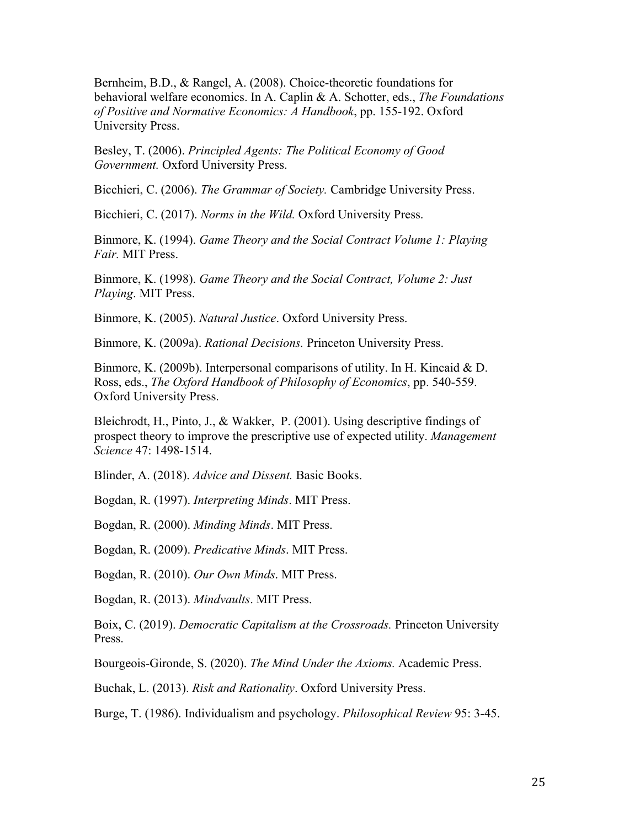Bernheim, B.D., & Rangel, A. (2008). Choice-theoretic foundations for behavioral welfare economics. In A. Caplin & A. Schotter, eds., *The Foundations of Positive and Normative Economics: A Handbook*, pp. 155-192. Oxford University Press.

Besley, T. (2006). *Principled Agents: The Political Economy of Good Government.* Oxford University Press.

Bicchieri, C. (2006). *The Grammar of Society.* Cambridge University Press.

Bicchieri, C. (2017). *Norms in the Wild.* Oxford University Press.

Binmore, K. (1994). *Game Theory and the Social Contract Volume 1: Playing Fair.* MIT Press.

Binmore, K. (1998). *Game Theory and the Social Contract, Volume 2: Just Playing*. MIT Press.

Binmore, K. (2005). *Natural Justice*. Oxford University Press.

Binmore, K. (2009a). *Rational Decisions.* Princeton University Press.

Binmore, K. (2009b). Interpersonal comparisons of utility. In H. Kincaid & D. Ross, eds., *The Oxford Handbook of Philosophy of Economics*, pp. 540-559. Oxford University Press.

Bleichrodt, H., Pinto, J., & Wakker, P. (2001). Using descriptive findings of prospect theory to improve the prescriptive use of expected utility. *Management Science* 47: 1498-1514.

Blinder, A. (2018). *Advice and Dissent.* Basic Books.

Bogdan, R. (1997). *Interpreting Minds*. MIT Press.

Bogdan, R. (2000). *Minding Minds*. MIT Press.

Bogdan, R. (2009). *Predicative Minds*. MIT Press.

Bogdan, R. (2010). *Our Own Minds*. MIT Press.

Bogdan, R. (2013). *Mindvaults*. MIT Press.

Boix, C. (2019). *Democratic Capitalism at the Crossroads.* Princeton University Press.

Bourgeois-Gironde, S. (2020). *The Mind Under the Axioms.* Academic Press.

Buchak, L. (2013). *Risk and Rationality*. Oxford University Press.

Burge, T. (1986). Individualism and psychology. *Philosophical Review* 95: 3-45.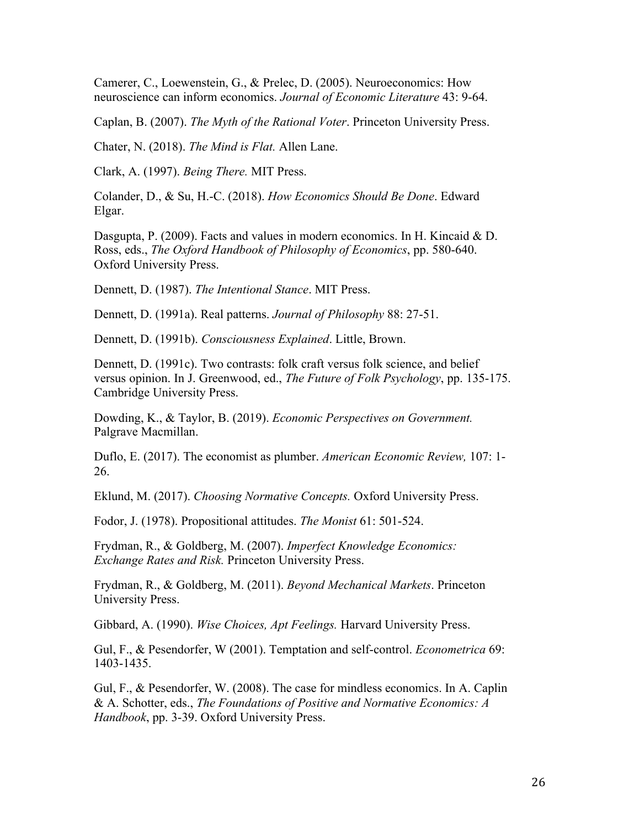Camerer, C., Loewenstein, G., & Prelec, D. (2005). Neuroeconomics: How neuroscience can inform economics. *Journal of Economic Literature* 43: 9-64.

Caplan, B. (2007). *The Myth of the Rational Voter*. Princeton University Press.

Chater, N. (2018). *The Mind is Flat.* Allen Lane.

Clark, A. (1997). *Being There.* MIT Press.

Colander, D., & Su, H.-C. (2018). *How Economics Should Be Done*. Edward Elgar.

Dasgupta, P. (2009). Facts and values in modern economics. In H. Kincaid & D. Ross, eds., *The Oxford Handbook of Philosophy of Economics*, pp. 580-640. Oxford University Press.

Dennett, D. (1987). *The Intentional Stance*. MIT Press.

Dennett, D. (1991a). Real patterns. *Journal of Philosophy* 88: 27-51.

Dennett, D. (1991b). *Consciousness Explained*. Little, Brown.

Dennett, D. (1991c). Two contrasts: folk craft versus folk science, and belief versus opinion. In J. Greenwood, ed., *The Future of Folk Psychology*, pp. 135-175. Cambridge University Press.

Dowding, K., & Taylor, B. (2019). *Economic Perspectives on Government.*  Palgrave Macmillan.

Duflo, E. (2017). The economist as plumber. *American Economic Review,* 107: 1- 26.

Eklund, M. (2017). *Choosing Normative Concepts.* Oxford University Press.

Fodor, J. (1978). Propositional attitudes. *The Monist* 61: 501-524.

Frydman, R., & Goldberg, M. (2007). *Imperfect Knowledge Economics: Exchange Rates and Risk.* Princeton University Press.

Frydman, R., & Goldberg, M. (2011). *Beyond Mechanical Markets*. Princeton University Press.

Gibbard, A. (1990). *Wise Choices, Apt Feelings.* Harvard University Press.

Gul, F., & Pesendorfer, W (2001). Temptation and self-control. *Econometrica* 69: 1403-1435.

Gul, F., & Pesendorfer, W. (2008). The case for mindless economics. In A. Caplin & A. Schotter, eds., *The Foundations of Positive and Normative Economics: A Handbook*, pp. 3-39. Oxford University Press.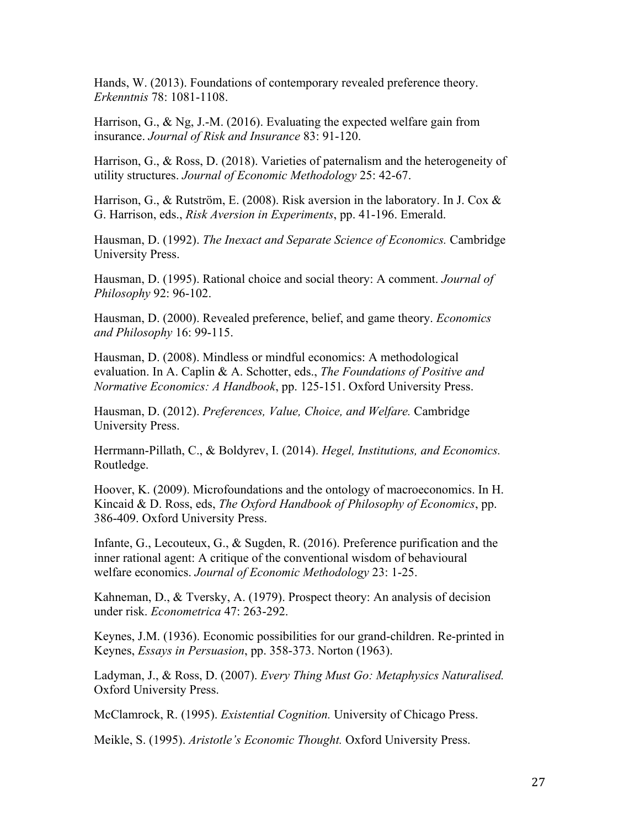Hands, W. (2013). Foundations of contemporary revealed preference theory. *Erkenntnis* 78: 1081-1108.

Harrison, G., & Ng, J.-M. (2016). Evaluating the expected welfare gain from insurance. *Journal of Risk and Insurance* 83: 91-120.

Harrison, G., & Ross, D. (2018). Varieties of paternalism and the heterogeneity of utility structures. *Journal of Economic Methodology* 25: 42-67.

Harrison, G., & Rutström, E. (2008). Risk aversion in the laboratory. In J. Cox & G. Harrison, eds., *Risk Aversion in Experiments*, pp. 41-196. Emerald.

Hausman, D. (1992). *The Inexact and Separate Science of Economics.* Cambridge University Press.

Hausman, D. (1995). Rational choice and social theory: A comment. *Journal of Philosophy* 92: 96-102.

Hausman, D. (2000). Revealed preference, belief, and game theory. *Economics and Philosophy* 16: 99-115.

Hausman, D. (2008). Mindless or mindful economics: A methodological evaluation. In A. Caplin & A. Schotter, eds., *The Foundations of Positive and Normative Economics: A Handbook*, pp. 125-151. Oxford University Press.

Hausman, D. (2012). *Preferences, Value, Choice, and Welfare.* Cambridge University Press.

Herrmann-Pillath, C., & Boldyrev, I. (2014). *Hegel, Institutions, and Economics.*  Routledge.

Hoover, K. (2009). Microfoundations and the ontology of macroeconomics. In H. Kincaid & D. Ross, eds, *The Oxford Handbook of Philosophy of Economics*, pp. 386-409. Oxford University Press.

Infante, G., Lecouteux, G., & Sugden, R. (2016). Preference purification and the inner rational agent: A critique of the conventional wisdom of behavioural welfare economics. *Journal of Economic Methodology* 23: 1-25.

Kahneman, D., & Tversky, A. (1979). Prospect theory: An analysis of decision under risk. *Econometrica* 47: 263-292.

Keynes, J.M. (1936). Economic possibilities for our grand-children. Re-printed in Keynes, *Essays in Persuasion*, pp. 358-373. Norton (1963).

Ladyman, J., & Ross, D. (2007). *Every Thing Must Go: Metaphysics Naturalised.*  Oxford University Press.

McClamrock, R. (1995). *Existential Cognition.* University of Chicago Press.

Meikle, S. (1995). *Aristotle's Economic Thought.* Oxford University Press.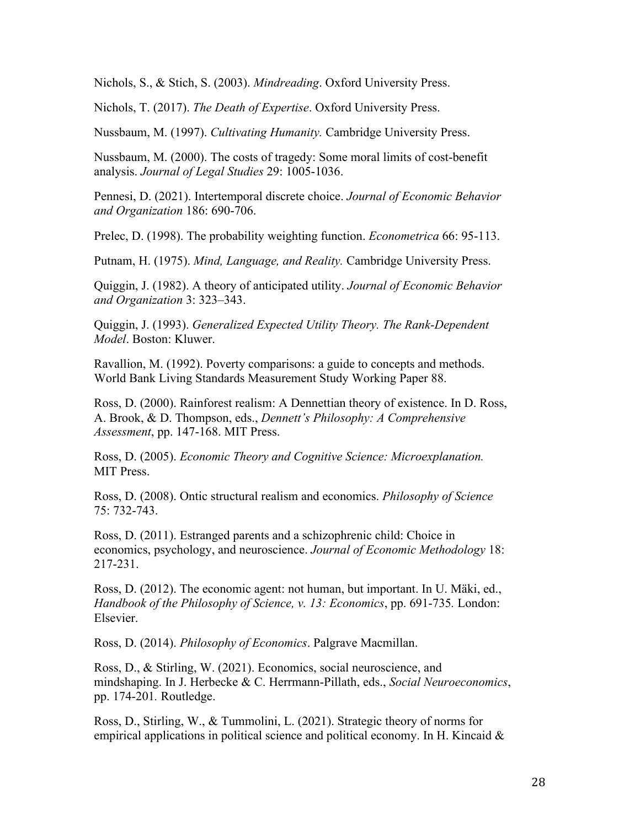Nichols, S., & Stich, S. (2003). *Mindreading*. Oxford University Press.

Nichols, T. (2017). *The Death of Expertise*. Oxford University Press.

Nussbaum, M. (1997). *Cultivating Humanity.* Cambridge University Press.

Nussbaum, M. (2000). The costs of tragedy: Some moral limits of cost-benefit analysis. *Journal of Legal Studies* 29: 1005-1036.

Pennesi, D. (2021). Intertemporal discrete choice. *Journal of Economic Behavior and Organization* 186: 690-706.

Prelec, D. (1998). The probability weighting function. *Econometrica* 66: 95-113.

Putnam, H. (1975). *Mind, Language, and Reality.* Cambridge University Press.

Quiggin, J. (1982). A theory of anticipated utility. *Journal of Economic Behavior and Organization* 3: 323–343.

Quiggin, J. (1993). *Generalized Expected Utility Theory. The Rank-Dependent Model*. Boston: Kluwer.

Ravallion, M. (1992). Poverty comparisons: a guide to concepts and methods. World Bank Living Standards Measurement Study Working Paper 88.

Ross, D. (2000). Rainforest realism: A Dennettian theory of existence. In D. Ross, A. Brook, & D. Thompson, eds., *Dennett's Philosophy: A Comprehensive Assessment*, pp. 147-168. MIT Press.

Ross, D. (2005). *Economic Theory and Cognitive Science: Microexplanation.*  **MIT Press.** 

Ross, D. (2008). Ontic structural realism and economics. *Philosophy of Science*  75: 732-743.

Ross, D. (2011). Estranged parents and a schizophrenic child: Choice in economics, psychology, and neuroscience. *Journal of Economic Methodology* 18: 217-231.

Ross, D. (2012). The economic agent: not human, but important. In U. Mäki, ed., *Handbook of the Philosophy of Science, v. 13: Economics*, pp. 691-735*.* London: **Elsevier** 

Ross, D. (2014). *Philosophy of Economics*. Palgrave Macmillan.

Ross, D., & Stirling, W. (2021). Economics, social neuroscience, and mindshaping. In J. Herbecke & C. Herrmann-Pillath, eds., *Social Neuroeconomics*, pp. 174-201*.* Routledge.

Ross, D., Stirling, W., & Tummolini, L. (2021). Strategic theory of norms for empirical applications in political science and political economy. In H. Kincaid  $\&$